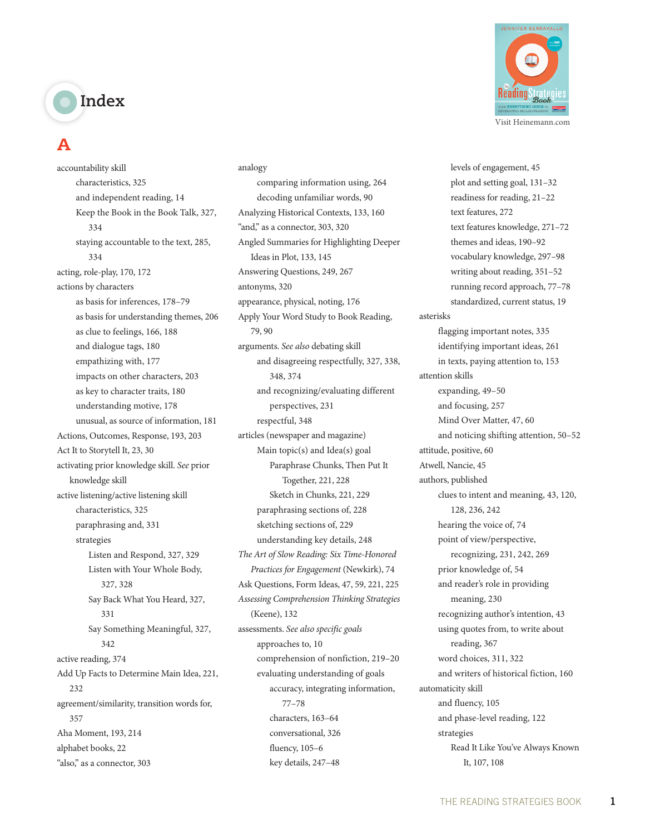# **Index**

# **A**

accountability skill characteristics, 325 and independent reading, 14 Keep the Book in the Book Talk, 327, 334 staying accountable to the text, 285, 334 acting, role-play, 170, 172 actions by characters as basis for inferences, 178–79 as basis for understanding themes, 206 as clue to feelings, 166, 188 and dialogue tags, 180 empathizing with, 177 impacts on other characters, 203 as key to character traits, 180 understanding motive, 178 unusual, as source of information, 181 Actions, Outcomes, Response, 193, 203 Act It to Storytell It, 23, 30 activating prior knowledge skill. *See* prior knowledge skill active listening/active listening skill characteristics, 325 paraphrasing and, 331 strategies Listen and Respond, 327, 329 Listen with Your Whole Body, 327, 328 Say Back What You Heard, 327, 331 Say Something Meaningful, 327, 342 active reading, 374 Add Up Facts to Determine Main Idea, 221, 232 agreement/similarity, transition words for, 357 Aha Moment, 193, 214 alphabet books, 22 "also," as a connector, 303

analogy comparing information using, 264 decoding unfamiliar words, 90 Analyzing Historical Contexts, 133, 160 "and," as a connector, 303, 320 Angled Summaries for Highlighting Deeper Ideas in Plot, 133, 145 Answering Questions, 249, 267 antonyms, 320 appearance, physical, noting, 176 Apply Your Word Study to Book Reading, 79, 90 arguments. *See also* debating skill and disagreeing respectfully, 327, 338, 348, 374 and recognizing/evaluating different perspectives, 231 respectful, 348 articles (newspaper and magazine) Main topic(s) and Idea(s) goal Paraphrase Chunks, Then Put It Together, 221, 228 Sketch in Chunks, 221, 229 paraphrasing sections of, 228 sketching sections of, 229 understanding key details, 248 *The Art of Slow Reading: Six Time-Honored Practices for Engagement* (Newkirk), 74 Ask Questions, Form Ideas, 47, 59, 221, 225 *Assessing Comprehension Thinking Strategies* (Keene), 132 assessments. *See also specific goals* approaches to, 10 comprehension of nonfiction, 219–20 evaluating understanding of goals accuracy, integrating information, 77–78 characters, 163–64 conversational, 326 fluency, 105–6 key details, 247–48



levels of engagement, 45 plot and setting goal, 131–32 readiness for reading, 21–22 text features, 272 text features knowledge, 271–72 themes and ideas, 190–92 vocabulary knowledge, 297–98 writing about reading, 351–52 running record approach, 77–78 standardized, current status, 19 asterisks flagging important notes, 335 identifying important ideas, 261 in texts, paying attention to, 153 attention skills expanding, 49–50 and focusing, 257 Mind Over Matter, 47, 60 and noticing shifting attention, 50–52 attitude, positive, 60 Atwell, Nancie, 45 authors, published clues to intent and meaning, 43, 120, 128, 236, 242 hearing the voice of, 74 point of view/perspective, recognizing, 231, 242, 269 prior knowledge of, 54 and reader's role in providing meaning, 230 recognizing author's intention, 43 using quotes from, to write about reading, 367 word choices, 311, 322 and writers of historical fiction, 160 automaticity skill and fluency, 105 and phase-level reading, 122 strategies Read It Like You've Always Known It, 107, 108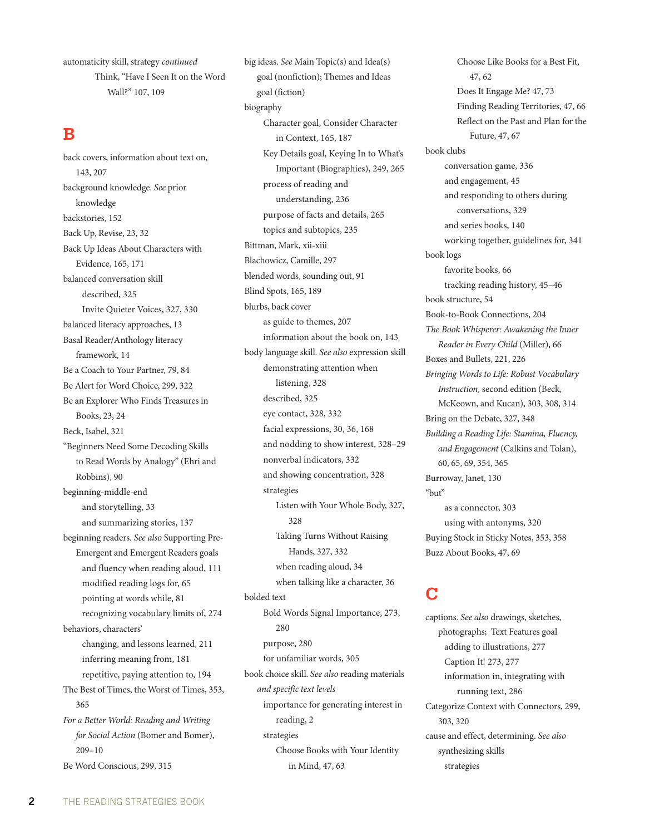automaticity skill, strategy *continued* Think, "Have I Seen It on the Word Wall?" 107, 109

#### **B**

back covers, information about text on, 143, 207 background knowledge. *See* prior knowledge backstories, 152 Back Up, Revise, 23, 32 Back Up Ideas About Characters with Evidence, 165, 171 balanced conversation skill described, 325 Invite Quieter Voices, 327, 330 balanced literacy approaches, 13 Basal Reader/Anthology literacy framework, 14 Be a Coach to Your Partner, 79, 84 Be Alert for Word Choice, 299, 322 Be an Explorer Who Finds Treasures in Books, 23, 24 Beck, Isabel, 321 "Beginners Need Some Decoding Skills to Read Words by Analogy" (Ehri and Robbins), 90 beginning-middle-end and storytelling, 33 and summarizing stories, 137 beginning readers. *See also* Supporting Pre-Emergent and Emergent Readers goals and fluency when reading aloud, 111 modified reading logs for, 65 pointing at words while, 81 recognizing vocabulary limits of, 274 behaviors, characters' changing, and lessons learned, 211 inferring meaning from, 181 repetitive, paying attention to, 194 The Best of Times, the Worst of Times, 353, 365 *For a Better World: Reading and Writing for Social Action* (Bomer and Bomer), 209–10

Be Word Conscious, 299, 315

big ideas. *See* Main Topic(s) and Idea(s) goal (nonfiction); Themes and Ideas goal (fiction) biography Character goal, Consider Character in Context, 165, 187 Key Details goal, Keying In to What's Important (Biographies), 249, 265 process of reading and understanding, 236 purpose of facts and details, 265 topics and subtopics, 235 Bittman, Mark, xii-xiii Blachowicz, Camille, 297 blended words, sounding out, 91 Blind Spots, 165, 189 blurbs, back cover as guide to themes, 207 information about the book on, 143 body language skill. *See also* expression skill demonstrating attention when listening, 328 described, 325 eye contact, 328, 332 facial expressions, 30, 36, 168 and nodding to show interest, 328–29 nonverbal indicators, 332 and showing concentration, 328 strategies Listen with Your Whole Body, 327, 328 Taking Turns Without Raising Hands, 327, 332 when reading aloud, 34 when talking like a character, 36 bolded text Bold Words Signal Importance, 273, 280 purpose, 280 for unfamiliar words, 305 book choice skill. *See also* reading materials *and specific text levels* importance for generating interest in reading, 2 strategies

Choose Books with Your Identity in Mind, 47, 63

Choose Like Books for a Best Fit, 47, 62 Does It Engage Me? 47, 73 Finding Reading Territories, 47, 66 Reflect on the Past and Plan for the Future, 47, 67 book clubs conversation game, 336 and engagement, 45 and responding to others during conversations, 329 and series books, 140 working together, guidelines for, 341 book logs favorite books, 66 tracking reading history, 45–46 book structure, 54 Book-to-Book Connections, 204 *The Book Whisperer: Awakening the Inner Reader in Every Child* (Miller), 66 Boxes and Bullets, 221, 226 *Bringing Words to Life: Robust Vocabulary Instruction,* second edition (Beck, McKeown, and Kucan), 303, 308, 314 Bring on the Debate, 327, 348 *Building a Reading Life: Stamina, Fluency, and Engagement* (Calkins and Tolan), 60, 65, 69, 354, 365 Burroway, Janet, 130 "but" as a connector, 303 using with antonyms, 320 Buying Stock in Sticky Notes, 353, 358

#### **C**

Buzz About Books, 47, 69

captions. *See also* drawings, sketches, photographs; Text Features goal adding to illustrations, 277 Caption It! 273, 277 information in, integrating with running text, 286 Categorize Context with Connectors, 299, 303, 320 cause and effect, determining. *See also* synthesizing skills strategies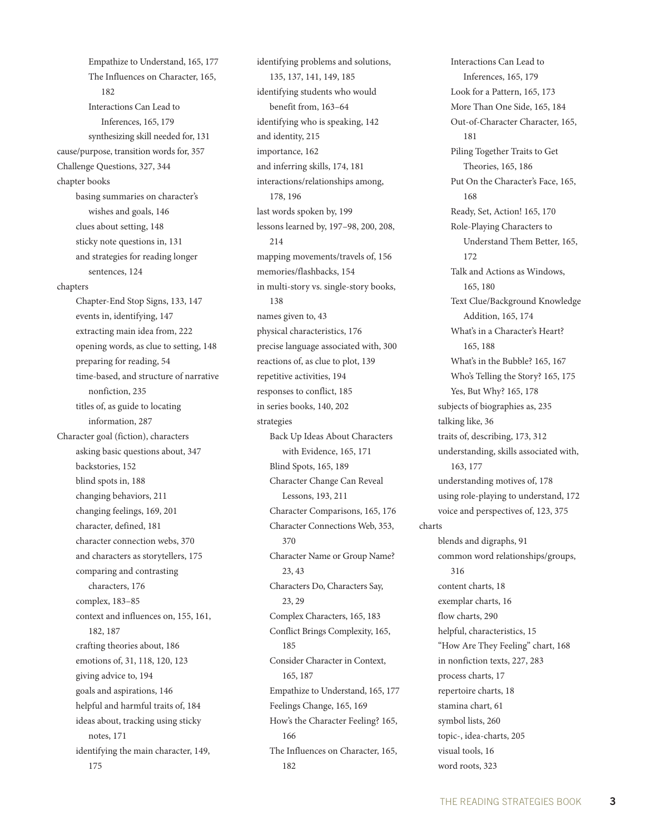Empathize to Understand, 165, 177 The Influences on Character, 165, 182 Interactions Can Lead to Inferences, 165, 179 synthesizing skill needed for, 131 cause/purpose, transition words for, 357 Challenge Questions, 327, 344 chapter books basing summaries on character's wishes and goals, 146 clues about setting, 148 sticky note questions in, 131 and strategies for reading longer sentences, 124 chapters Chapter-End Stop Signs, 133, 147 events in, identifying, 147 extracting main idea from, 222 opening words, as clue to setting, 148 preparing for reading, 54 time-based, and structure of narrative nonfiction, 235 titles of, as guide to locating information, 287 Character goal (fiction), characters asking basic questions about, 347 backstories, 152 blind spots in, 188 changing behaviors, 211 changing feelings, 169, 201 character, defined, 181 character connection webs, 370 and characters as storytellers, 175 comparing and contrasting characters, 176 complex, 183–85 context and influences on, 155, 161, 182, 187 crafting theories about, 186 emotions of, 31, 118, 120, 123 giving advice to, 194 goals and aspirations, 146 helpful and harmful traits of, 184 ideas about, tracking using sticky notes, 171 identifying the main character, 149, 175

identifying problems and solutions, 135, 137, 141, 149, 185 identifying students who would benefit from, 163–64 identifying who is speaking, 142 and identity, 215 importance, 162 and inferring skills, 174, 181 interactions/relationships among, 178, 196 last words spoken by, 199 lessons learned by, 197–98, 200, 208, 214 mapping movements/travels of, 156 memories/flashbacks, 154 in multi-story vs. single-story books, 138 names given to, 43 physical characteristics, 176 precise language associated with, 300 reactions of, as clue to plot, 139 repetitive activities, 194 responses to conflict, 185 in series books, 140, 202 strategies Back Up Ideas About Characters with Evidence, 165, 171 Blind Spots, 165, 189 Character Change Can Reveal Lessons, 193, 211 Character Comparisons, 165, 176 Character Connections Web, 353, 370 Character Name or Group Name? 23, 43 Characters Do, Characters Say, 23, 29 Complex Characters, 165, 183 Conflict Brings Complexity, 165, 185 Consider Character in Context, 165, 187 Empathize to Understand, 165, 177 Feelings Change, 165, 169 How's the Character Feeling? 165, 166 The Influences on Character, 165, 182

Interactions Can Lead to Inferences, 165, 179 Look for a Pattern, 165, 173 More Than One Side, 165, 184 Out-of-Character Character, 165, 181 Piling Together Traits to Get Theories, 165, 186 Put On the Character's Face, 165, 168 Ready, Set, Action! 165, 170 Role-Playing Characters to Understand Them Better, 165, 172 Talk and Actions as Windows, 165, 180 Text Clue/Background Knowledge Addition, 165, 174 What's in a Character's Heart? 165, 188 What's in the Bubble? 165, 167 Who's Telling the Story? 165, 175 Yes, But Why? 165, 178 subjects of biographies as, 235 talking like, 36 traits of, describing, 173, 312 understanding, skills associated with, 163, 177 understanding motives of, 178 using role-playing to understand, 172 voice and perspectives of, 123, 375 charts blends and digraphs, 91 common word relationships/groups, 316 content charts, 18 exemplar charts, 16 flow charts, 290 helpful, characteristics, 15 "How Are They Feeling" chart, 168 in nonfiction texts, 227, 283 process charts, 17 repertoire charts, 18 stamina chart, 61 symbol lists, 260 topic-, idea-charts, 205 visual tools, 16 word roots, 323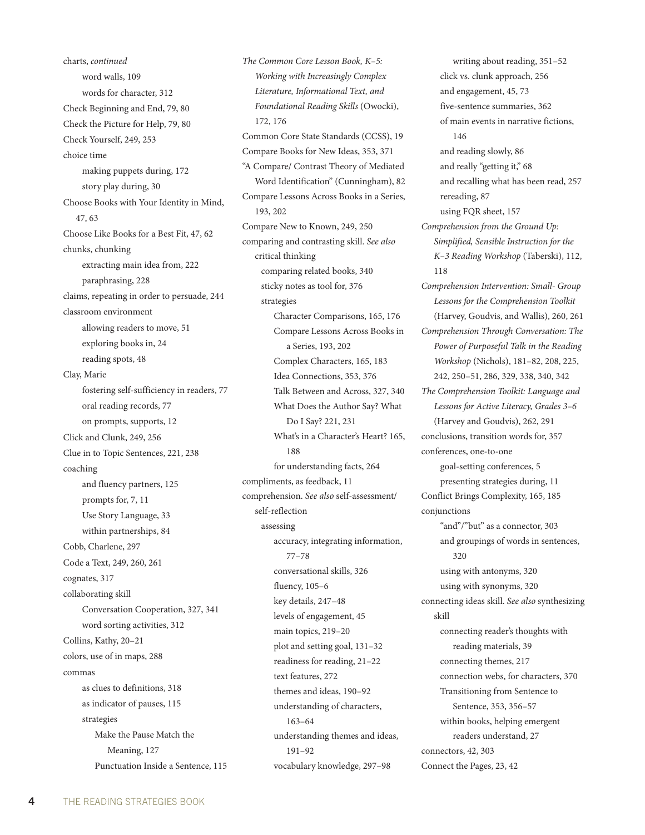charts, *continued* word walls, 109 words for character, 312 Check Beginning and End, 79, 80 Check the Picture for Help, 79, 80 Check Yourself, 249, 253 choice time making puppets during, 172 story play during, 30 Choose Books with Your Identity in Mind, 47, 63 Choose Like Books for a Best Fit, 47, 62 chunks, chunking extracting main idea from, 222 paraphrasing, 228 claims, repeating in order to persuade, 244 classroom environment allowing readers to move, 51 exploring books in, 24 reading spots, 48 Clay, Marie fostering self-sufficiency in readers, 77 oral reading records, 77 on prompts, supports, 12 Click and Clunk, 249, 256 Clue in to Topic Sentences, 221, 238 coaching and fluency partners, 125 prompts for, 7, 11 Use Story Language, 33 within partnerships, 84 Cobb, Charlene, 297 Code a Text, 249, 260, 261 cognates, 317 collaborating skill Conversation Cooperation, 327, 341 word sorting activities, 312 Collins, Kathy, 20–21 colors, use of in maps, 288 commas as clues to definitions, 318 as indicator of pauses, 115 strategies Make the Pause Match the Meaning, 127 Punctuation Inside a Sentence, 115 *The Common Core Lesson Book, K–5: Working with Increasingly Complex Literature, Informational Text, and Foundational Reading Skills* (Owocki), 172, 176 Common Core State Standards (CCSS), 19 Compare Books for New Ideas, 353, 371 "A Compare/ Contrast Theory of Mediated Word Identification" (Cunningham), 82 Compare Lessons Across Books in a Series, 193, 202 Compare New to Known, 249, 250 comparing and contrasting skill. *See also* critical thinking comparing related books, 340 sticky notes as tool for, 376 strategies Character Comparisons, 165, 176 Compare Lessons Across Books in a Series, 193, 202 Complex Characters, 165, 183 Idea Connections, 353, 376 Talk Between and Across, 327, 340 What Does the Author Say? What Do I Say? 221, 231 What's in a Character's Heart? 165, 188 for understanding facts, 264 compliments, as feedback, 11 comprehension. *See also* self-assessment/ self-reflection assessing accuracy, integrating information, 77–78 conversational skills, 326 fluency, 105–6 key details, 247–48 levels of engagement, 45 main topics, 219–20 plot and setting goal, 131–32 readiness for reading, 21–22 text features, 272 themes and ideas, 190–92 understanding of characters, 163–64 understanding themes and ideas, 191–92 vocabulary knowledge, 297–98

writing about reading, 351–52 click vs. clunk approach, 256 and engagement, 45, 73 five-sentence summaries, 362 of main events in narrative fictions, 146 and reading slowly, 86 and really "getting it," 68 and recalling what has been read, 257 rereading, 87 using FQR sheet, 157 *Comprehension from the Ground Up: Simplified, Sensible Instruction for the K–3 Reading Workshop* (Taberski), 112, 118 *Comprehension Intervention: Small- Group Lessons for the Comprehension Toolkit*  (Harvey, Goudvis, and Wallis), 260, 261 *Comprehension Through Conversation: The Power of Purposeful Talk in the Reading Workshop* (Nichols), 181–82, 208, 225, 242, 250–51, 286, 329, 338, 340, 342 *The Comprehension Toolkit: Language and Lessons for Active Literacy, Grades 3–6*  (Harvey and Goudvis), 262, 291 conclusions, transition words for, 357 conferences, one-to-one goal-setting conferences, 5 presenting strategies during, 11 Conflict Brings Complexity, 165, 185 conjunctions "and"/"but" as a connector, 303 and groupings of words in sentences, 320 using with antonyms, 320 using with synonyms, 320 connecting ideas skill. *See also* synthesizing skill connecting reader's thoughts with reading materials, 39 connecting themes, 217 connection webs, for characters, 370 Transitioning from Sentence to Sentence, 353, 356–57 within books, helping emergent readers understand, 27 connectors, 42, 303 Connect the Pages, 23, 42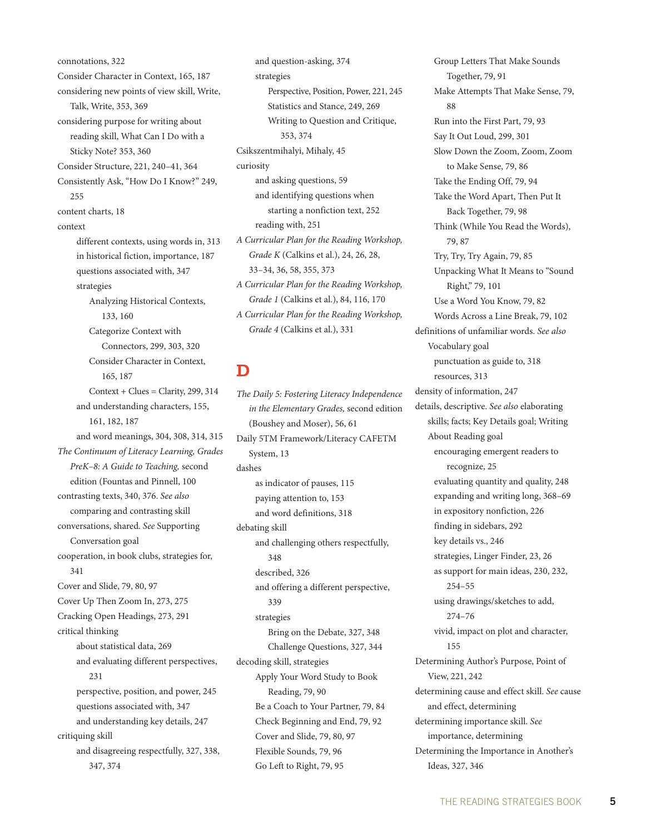connotations, 322 Consider Character in Context, 165, 187 considering new points of view skill, Write, Talk, Write, 353, 369 considering purpose for writing about reading skill, What Can I Do with a Sticky Note? 353, 360 Consider Structure, 221, 240–41, 364 Consistently Ask, "How Do I Know?" 249,  $255$ content charts, 18 context different contexts, using words in, 313 in historical fiction, importance, 187 questions associated with, 347 strategies Analyzing Historical Contexts, 133, 160 Categorize Context with Connectors, 299, 303, 320 Consider Character in Context, 165, 187  $Context + Clues = Clarity, 299, 314$ and understanding characters, 155, 161, 182, 187 and word meanings, 304, 308, 314, 315 *The Continuum of Literacy Learning, Grades PreK–8: A Guide to Teaching,* second edition (Fountas and Pinnell, 100 contrasting texts, 340, 376. *See also* comparing and contrasting skill conversations, shared. *See* Supporting Conversation goal cooperation, in book clubs, strategies for, 341 Cover and Slide, 79, 80, 97 Cover Up Then Zoom In, 273, 275 Cracking Open Headings, 273, 291 critical thinking about statistical data, 269 and evaluating different perspectives, 231 perspective, position, and power, 245 questions associated with, 347 and understanding key details, 247 critiquing skill and disagreeing respectfully, 327, 338, 347, 374

and question-asking, 374 strategies Perspective, Position, Power, 221, 245 Statistics and Stance, 249, 269 Writing to Question and Critique, 353, 374 Csikszentmihalyi, Mihaly, 45 curiosity and asking questions, 59 and identifying questions when starting a nonfiction text, 252 reading with, 251 *A Curricular Plan for the Reading Workshop, Grade K* (Calkins et al.), 24, 26, 28, 33–34, 36, 58, 355, 373 *A Curricular Plan for the Reading Workshop, Grade 1* (Calkins et al.), 84, 116, 170 *A Curricular Plan for the Reading Workshop, Grade 4* (Calkins et al.), 331

# **D**

*The Daily 5: Fostering Literacy Independence in the Elementary Grades,* second edition (Boushey and Moser), 56, 61 Daily 5TM Framework/Literacy CAFETM System, 13 dashes as indicator of pauses, 115 paying attention to, 153 and word definitions, 318 debating skill and challenging others respectfully, 348 described, 326 and offering a different perspective, 339 strategies Bring on the Debate, 327, 348 Challenge Questions, 327, 344 decoding skill, strategies Apply Your Word Study to Book Reading, 79, 90 Be a Coach to Your Partner, 79, 84 Check Beginning and End, 79, 92 Cover and Slide, 79, 80, 97 Flexible Sounds, 79, 96 Go Left to Right, 79, 95

Group Letters That Make Sounds Together, 79, 91 Make Attempts That Make Sense, 79, 88 Run into the First Part, 79, 93 Say It Out Loud, 299, 301 Slow Down the Zoom, Zoom, Zoom to Make Sense, 79, 86 Take the Ending Off, 79, 94 Take the Word Apart, Then Put It Back Together, 79, 98 Think (While You Read the Words), 79, 87 Try, Try, Try Again, 79, 85 Unpacking What It Means to "Sound Right," 79, 101 Use a Word You Know, 79, 82 Words Across a Line Break, 79, 102 definitions of unfamiliar words. *See also* Vocabulary goal punctuation as guide to, 318 resources, 313 density of information, 247 details, descriptive. *See also* elaborating skills; facts; Key Details goal; Writing About Reading goal encouraging emergent readers to recognize, 25 evaluating quantity and quality, 248 expanding and writing long, 368–69 in expository nonfiction, 226 finding in sidebars, 292 key details vs., 246 strategies, Linger Finder, 23, 26 as support for main ideas, 230, 232, 254–55 using drawings/sketches to add, 274–76 vivid, impact on plot and character, 155 Determining Author's Purpose, Point of View, 221, 242 determining cause and effect skill. *See* cause and effect, determining determining importance skill. *See* importance, determining Determining the Importance in Another's Ideas, 327, 346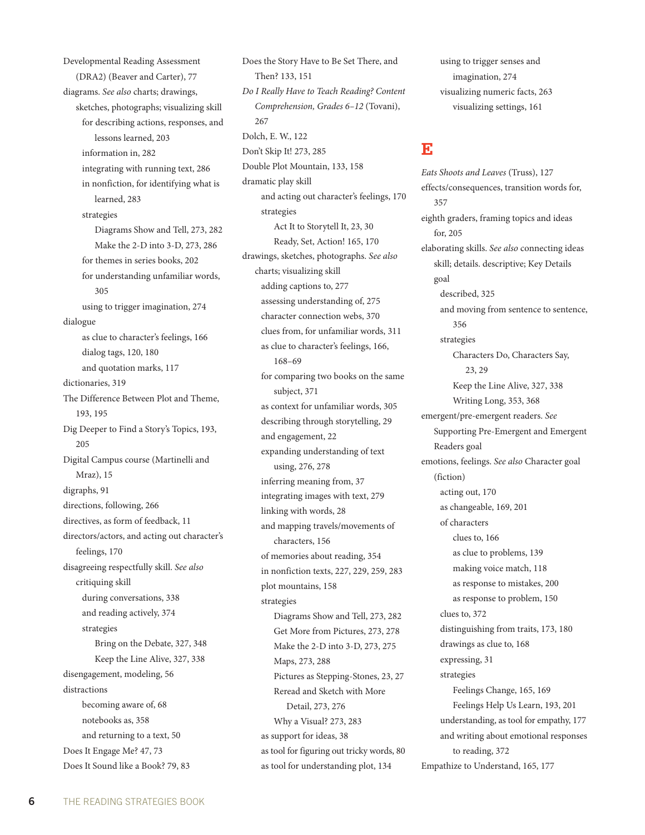Developmental Reading Assessment (DRA2) (Beaver and Carter), 77 diagrams. *See also* charts; drawings, sketches, photographs; visualizing skill for describing actions, responses, and lessons learned, 203 information in, 282 integrating with running text, 286 in nonfiction, for identifying what is learned, 283 strategies Diagrams Show and Tell, 273, 282 Make the 2-D into 3-D, 273, 286 for themes in series books, 202 for understanding unfamiliar words, 305 using to trigger imagination, 274 dialogue as clue to character's feelings, 166 dialog tags, 120, 180 and quotation marks, 117 dictionaries, 319 The Difference Between Plot and Theme, 193, 195 Dig Deeper to Find a Story's Topics, 193, 205 Digital Campus course (Martinelli and Mraz), 15 digraphs, 91 directions, following, 266 directives, as form of feedback, 11 directors/actors, and acting out character's feelings, 170 disagreeing respectfully skill. *See also* critiquing skill during conversations, 338 and reading actively, 374 strategies Bring on the Debate, 327, 348 Keep the Line Alive, 327, 338 disengagement, modeling, 56 distractions becoming aware of, 68 notebooks as, 358 and returning to a text, 50 Does It Engage Me? 47, 73 Does It Sound like a Book? 79, 83

Does the Story Have to Be Set There, and Then? 133, 151 *Do I Really Have to Teach Reading? Content Comprehension, Grades 6–12* (Tovani), 267 Dolch, E. W., 122 Don't Skip It! 273, 285 Double Plot Mountain, 133, 158 dramatic play skill and acting out character's feelings, 170 strategies Act It to Storytell It, 23, 30 Ready, Set, Action! 165, 170 drawings, sketches, photographs. *See also* charts; visualizing skill adding captions to, 277 assessing understanding of, 275 character connection webs, 370 clues from, for unfamiliar words, 311 as clue to character's feelings, 166, 168–69 for comparing two books on the same subject, 371 as context for unfamiliar words, 305 describing through storytelling, 29 and engagement, 22 expanding understanding of text using, 276, 278 inferring meaning from, 37 integrating images with text, 279 linking with words, 28 and mapping travels/movements of characters, 156 of memories about reading, 354 in nonfiction texts, 227, 229, 259, 283 plot mountains, 158 strategies Diagrams Show and Tell, 273, 282 Get More from Pictures, 273, 278 Make the 2-D into 3-D, 273, 275 Maps, 273, 288 Pictures as Stepping-Stones, 23, 27 Reread and Sketch with More Detail, 273, 276 Why a Visual? 273, 283 as support for ideas, 38 as tool for figuring out tricky words, 80 as tool for understanding plot, 134

using to trigger senses and imagination, 274 visualizing numeric facts, 263 visualizing settings, 161

#### **E**

*Eats Shoots and Leaves* (Truss), 127 effects/consequences, transition words for, 357 eighth graders, framing topics and ideas for, 205 elaborating skills. *See also* connecting ideas skill; details. descriptive; Key Details goal described, 325 and moving from sentence to sentence, 356 strategies Characters Do, Characters Say, 23, 29 Keep the Line Alive, 327, 338 Writing Long, 353, 368 emergent/pre-emergent readers. *See*  Supporting Pre-Emergent and Emergent Readers goal emotions, feelings. *See also* Character goal (fiction) acting out, 170 as changeable, 169, 201 of characters clues to, 166 as clue to problems, 139 making voice match, 118 as response to mistakes, 200 as response to problem, 150 clues to, 372 distinguishing from traits, 173, 180 drawings as clue to, 168 expressing, 31 strategies Feelings Change, 165, 169 Feelings Help Us Learn, 193, 201 understanding, as tool for empathy, 177 and writing about emotional responses to reading, 372 Empathize to Understand, 165, 177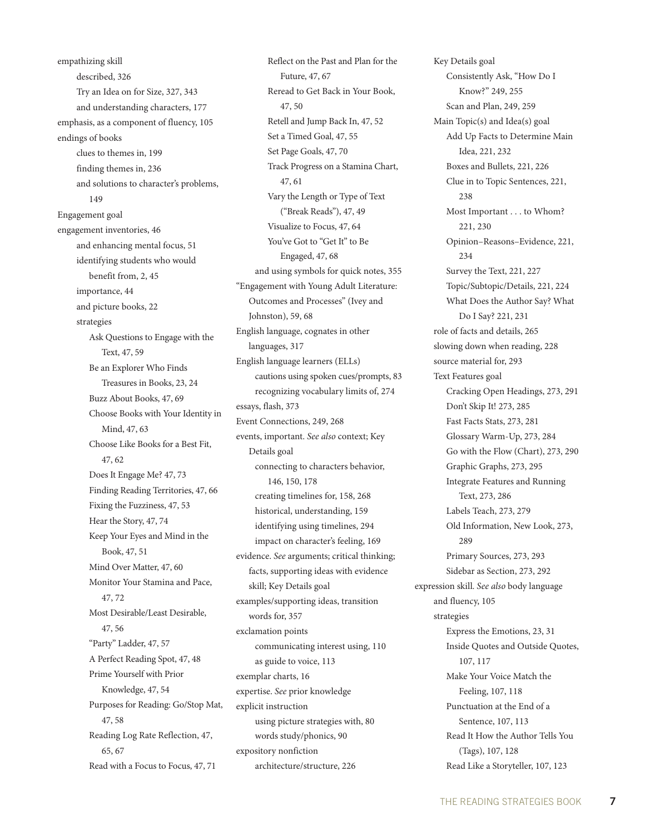empathizing skill described, 326 Try an Idea on for Size, 327, 343 and understanding characters, 177 emphasis, as a component of fluency, 105 endings of books clues to themes in, 199 finding themes in, 236 and solutions to character's problems, 149 Engagement goal engagement inventories, 46 and enhancing mental focus, 51 identifying students who would benefit from, 2, 45 importance, 44 and picture books, 22 strategies Ask Questions to Engage with the Text, 47, 59 Be an Explorer Who Finds Treasures in Books, 23, 24 Buzz About Books, 47, 69 Choose Books with Your Identity in Mind, 47, 63 Choose Like Books for a Best Fit, 47, 62 Does It Engage Me? 47, 73 Finding Reading Territories, 47, 66 Fixing the Fuzziness, 47, 53 Hear the Story, 47, 74 Keep Your Eyes and Mind in the Book, 47, 51 Mind Over Matter, 47, 60 Monitor Your Stamina and Pace, 47, 72 Most Desirable/Least Desirable, 47, 56 "Party" Ladder, 47, 57 A Perfect Reading Spot, 47, 48 Prime Yourself with Prior Knowledge, 47, 54 Purposes for Reading: Go/Stop Mat, 47, 58 Reading Log Rate Reflection, 47, 65, 67 Read with a Focus to Focus, 47, 71

Reflect on the Past and Plan for the Future, 47, 67 Reread to Get Back in Your Book, 47, 50 Retell and Jump Back In, 47, 52 Set a Timed Goal, 47, 55 Set Page Goals, 47, 70 Track Progress on a Stamina Chart, 47, 61 Vary the Length or Type of Text ("Break Reads"), 47, 49 Visualize to Focus, 47, 64 You've Got to "Get It" to Be Engaged, 47, 68 and using symbols for quick notes, 355 "Engagement with Young Adult Literature: Outcomes and Processes" (Ivey and Johnston), 59, 68 English language, cognates in other languages, 317 English language learners (ELLs) cautions using spoken cues/prompts, 83 recognizing vocabulary limits of, 274 essays, flash, 373 Event Connections, 249, 268 events, important. *See also* context; Key Details goal connecting to characters behavior, 146, 150, 178 creating timelines for, 158, 268 historical, understanding, 159 identifying using timelines, 294 impact on character's feeling, 169 evidence. *See* arguments; critical thinking; facts, supporting ideas with evidence skill; Key Details goal examples/supporting ideas, transition words for, 357 exclamation points communicating interest using, 110 as guide to voice, 113 exemplar charts, 16 expertise. *See* prior knowledge explicit instruction using picture strategies with, 80 words study/phonics, 90 expository nonfiction architecture/structure, 226

Key Details goal Consistently Ask, "How Do I Know?" 249, 255 Scan and Plan, 249, 259 Main Topic(s) and Idea(s) goal Add Up Facts to Determine Main Idea, 221, 232 Boxes and Bullets, 221, 226 Clue in to Topic Sentences, 221, 238 Most Important . . . to Whom? 221, 230 Opinion–Reasons–Evidence, 221, 234 Survey the Text, 221, 227 Topic/Subtopic/Details, 221, 224 What Does the Author Say? What Do I Say? 221, 231 role of facts and details, 265 slowing down when reading, 228 source material for, 293 Text Features goal Cracking Open Headings, 273, 291 Don't Skip It! 273, 285 Fast Facts Stats, 273, 281 Glossary Warm-Up, 273, 284 Go with the Flow (Chart), 273, 290 Graphic Graphs, 273, 295 Integrate Features and Running Text, 273, 286 Labels Teach, 273, 279 Old Information, New Look, 273, 289 Primary Sources, 273, 293 Sidebar as Section, 273, 292 expression skill. *See also* body language and fluency, 105 strategies Express the Emotions, 23, 31 Inside Quotes and Outside Quotes, 107, 117 Make Your Voice Match the Feeling, 107, 118 Punctuation at the End of a Sentence, 107, 113 Read It How the Author Tells You (Tags), 107, 128 Read Like a Storyteller, 107, 123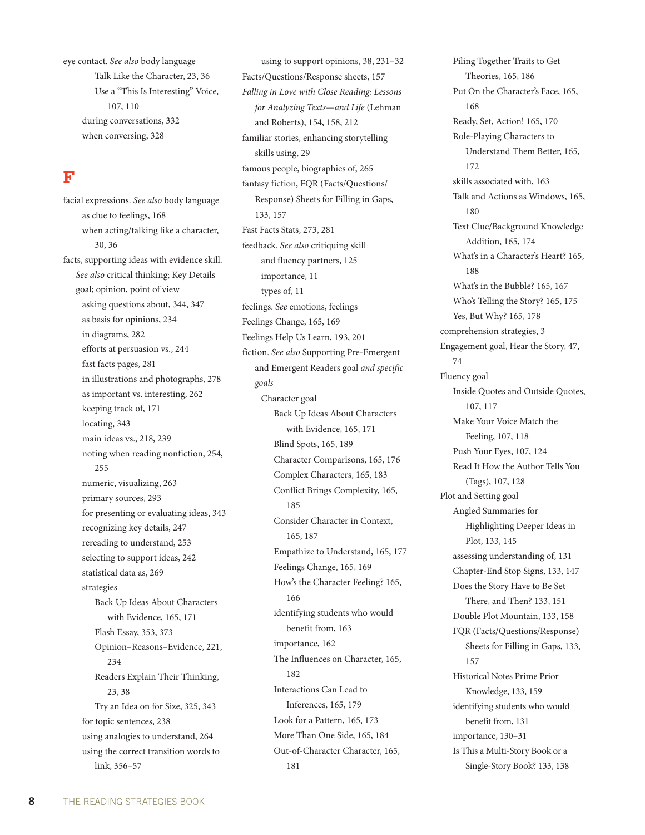eye contact. *See also* body language Talk Like the Character, 23, 36 Use a "This Is Interesting" Voice, 107, 110 during conversations, 332 when conversing, 328

# **F**

facial expressions. *See also* body language as clue to feelings, 168 when acting/talking like a character, 30, 36 facts, supporting ideas with evidence skill. *See also* critical thinking; Key Details goal; opinion, point of view asking questions about, 344, 347 as basis for opinions, 234 in diagrams, 282 efforts at persuasion vs., 244 fast facts pages, 281 in illustrations and photographs, 278 as important vs. interesting, 262 keeping track of, 171 locating, 343 main ideas vs., 218, 239 noting when reading nonfiction, 254, 255 numeric, visualizing, 263 primary sources, 293 for presenting or evaluating ideas, 343 recognizing key details, 247 rereading to understand, 253 selecting to support ideas, 242 statistical data as, 269 strategies Back Up Ideas About Characters with Evidence, 165, 171 Flash Essay, 353, 373 Opinion–Reasons–Evidence, 221, 234 Readers Explain Their Thinking, 23, 38 Try an Idea on for Size, 325, 343 for topic sentences, 238 using analogies to understand, 264 using the correct transition words to link, 356–57

using to support opinions, 38, 231–32 Facts/Questions/Response sheets, 157 *Falling in Love with Close Reading: Lessons for Analyzing Texts—and Life* (Lehman and Roberts), 154, 158, 212 familiar stories, enhancing storytelling skills using, 29 famous people, biographies of, 265 fantasy fiction, FQR (Facts/Questions/ Response) Sheets for Filling in Gaps, 133, 157 Fast Facts Stats, 273, 281 feedback. *See also* critiquing skill and fluency partners, 125 importance, 11 types of, 11 feelings. *See* emotions, feelings Feelings Change, 165, 169 Feelings Help Us Learn, 193, 201 fiction. *See also* Supporting Pre-Emergent and Emergent Readers goal *and specific goals* Character goal Back Up Ideas About Characters with Evidence, 165, 171 Blind Spots, 165, 189 Character Comparisons, 165, 176 Complex Characters, 165, 183 Conflict Brings Complexity, 165, 185 Consider Character in Context, 165, 187 Empathize to Understand, 165, 177 Feelings Change, 165, 169 How's the Character Feeling? 165, 166 identifying students who would benefit from, 163 importance, 162 The Influences on Character, 165, 182 Interactions Can Lead to Inferences, 165, 179 Look for a Pattern, 165, 173 More Than One Side, 165, 184 Out-of-Character Character, 165, 181

Piling Together Traits to Get Theories, 165, 186 Put On the Character's Face, 165, 168 Ready, Set, Action! 165, 170 Role-Playing Characters to Understand Them Better, 165, 172 skills associated with, 163 Talk and Actions as Windows, 165, 180 Text Clue/Background Knowledge Addition, 165, 174 What's in a Character's Heart? 165, 188 What's in the Bubble? 165, 167 Who's Telling the Story? 165, 175 Yes, But Why? 165, 178 comprehension strategies, 3 Engagement goal, Hear the Story, 47, 74 Fluency goal Inside Quotes and Outside Quotes, 107, 117 Make Your Voice Match the Feeling, 107, 118 Push Your Eyes, 107, 124 Read It How the Author Tells You (Tags), 107, 128 Plot and Setting goal Angled Summaries for Highlighting Deeper Ideas in Plot, 133, 145 assessing understanding of, 131 Chapter-End Stop Signs, 133, 147 Does the Story Have to Be Set There, and Then? 133, 151 Double Plot Mountain, 133, 158 FQR (Facts/Questions/Response) Sheets for Filling in Gaps, 133, 157 Historical Notes Prime Prior Knowledge, 133, 159 identifying students who would benefit from, 131 importance, 130–31 Is This a Multi-Story Book or a Single-Story Book? 133, 138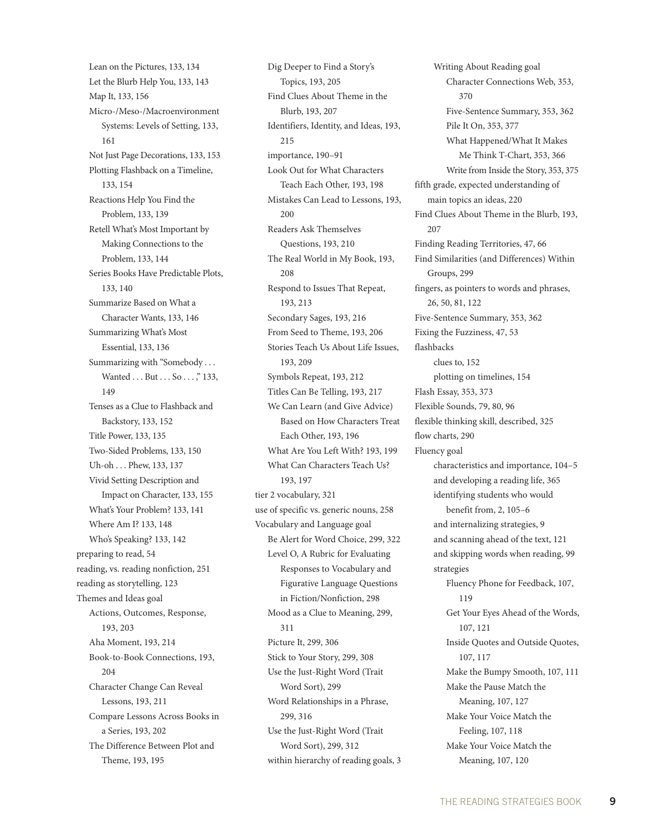Lean on the Pictures, 133, 134 Let the Blurb Help You, 133, 143 Map It, 133, 156 Micro-/Meso-/Macroenvironment Systems: Levels of Setting, 133, 161 Not Just Page Decorations, 133, 153 Plotting Flashback on a Timeline, 133, 154 Reactions Help You Find the Problem, 133, 139 Retell What's Most Important by Making Connections to the Problem, 133, 144 Series Books Have Predictable Plots, 133, 140 Summarize Based on What a Character Wants, 133, 146 Summarizing What's Most Essential, 133, 136 Summarizing with "Somebody . . . Wanted . . . But . . . So . . . ," 133, 149 Tenses as a Clue to Flashback and Backstory, 133, 152 Title Power, 133, 135 Two-Sided Problems, 133, 150 Uh-oh . . . Phew, 133, 137 Vivid Setting Description and Impact on Character, 133, 155 What's Your Problem? 133, 141 Where Am I? 133, 148 Who's Speaking? 133, 142 preparing to read, 54 reading, vs. reading nonfiction, 251 reading as storytelling, 123 Themes and Ideas goal Actions, Outcomes, Response, 193, 203 Aha Moment, 193, 214 Book-to-Book Connections, 193, 204 Character Change Can Reveal Lessons, 193, 211 Compare Lessons Across Books in a Series, 193, 202 The Difference Between Plot and Theme, 193, 195

Dig Deeper to Find a Story's Topics, 193, 205 Find Clues About Theme in the Blurb, 193, 207 Identifiers, Identity, and Ideas, 193, 215 importance, 190–91 Look Out for What Characters Teach Each Other, 193, 198 Mistakes Can Lead to Lessons, 193, 200 Readers Ask Themselves Questions, 193, 210 The Real World in My Book, 193, 208 Respond to Issues That Repeat, 193, 213 Secondary Sages, 193, 216 From Seed to Theme, 193, 206 Stories Teach Us About Life Issues, 193, 209 Symbols Repeat, 193, 212 Titles Can Be Telling, 193, 217 We Can Learn (and Give Advice) Based on How Characters Treat Each Other, 193, 196 What Are You Left With? 193, 199 What Can Characters Teach Us? 193, 197 tier 2 vocabulary, 321 use of specific vs. generic nouns, 258 Vocabulary and Language goal Be Alert for Word Choice, 299, 322 Level O, A Rubric for Evaluating Responses to Vocabulary and Figurative Language Questions in Fiction/Nonfiction, 298 Mood as a Clue to Meaning, 299, 311 Picture It, 299, 306 Stick to Your Story, 299, 308 Use the Just-Right Word (Trait Word Sort), 299 Word Relationships in a Phrase, 299, 316 Use the Just-Right Word (Trait Word Sort), 299, 312 within hierarchy of reading goals, 3

Writing About Reading goal Character Connections Web, 353, 370 Five-Sentence Summary, 353, 362 Pile It On, 353, 377 What Happened/What It Makes Me Think T-Chart, 353, 366 Write from Inside the Story, 353, 375 fifth grade, expected understanding of main topics an ideas, 220 Find Clues About Theme in the Blurb, 193, 207 Finding Reading Territories, 47, 66 Find Similarities (and Differences) Within Groups, 299 fingers, as pointers to words and phrases, 26, 50, 81, 122 Five-Sentence Summary, 353, 362 Fixing the Fuzziness, 47, 53 flashbacks clues to, 152 plotting on timelines, 154 Flash Essay, 353, 373 Flexible Sounds, 79, 80, 96 flexible thinking skill, described, 325 flow charts, 290 Fluency goal characteristics and importance, 104–5 and developing a reading life, 365 identifying students who would benefit from, 2, 105–6 and internalizing strategies, 9 and scanning ahead of the text, 121 and skipping words when reading, 99 strategies Fluency Phone for Feedback, 107, 119 Get Your Eyes Ahead of the Words, 107, 121 Inside Quotes and Outside Quotes, 107, 117 Make the Bumpy Smooth, 107, 111 Make the Pause Match the Meaning, 107, 127 Make Your Voice Match the Feeling, 107, 118 Make Your Voice Match the Meaning, 107, 120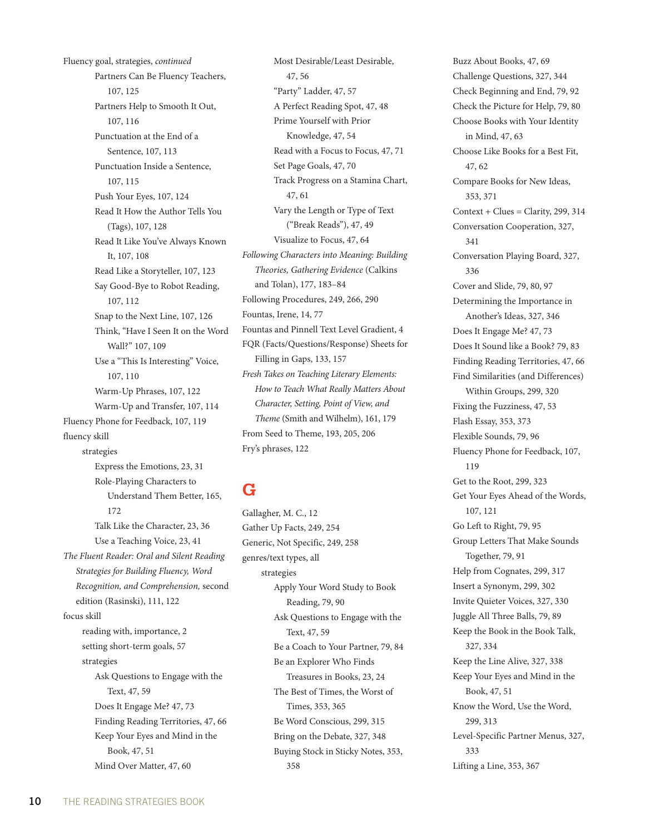Fluency goal, strategies, *continued* Partners Can Be Fluency Teachers, 107, 125 Partners Help to Smooth It Out, 107, 116 Punctuation at the End of a Sentence, 107, 113 Punctuation Inside a Sentence, 107, 115 Push Your Eyes, 107, 124 Read It How the Author Tells You (Tags), 107, 128 Read It Like You've Always Known It, 107, 108 Read Like a Storyteller, 107, 123 Say Good-Bye to Robot Reading, 107, 112 Snap to the Next Line, 107, 126 Think, "Have I Seen It on the Word Wall?" 107, 109 Use a "This Is Interesting" Voice, 107, 110 Warm-Up Phrases, 107, 122 Warm-Up and Transfer, 107, 114 Fluency Phone for Feedback, 107, 119 fluency skill strategies Express the Emotions, 23, 31 Role-Playing Characters to Understand Them Better, 165, 172 Talk Like the Character, 23, 36 Use a Teaching Voice, 23, 41 *The Fluent Reader: Oral and Silent Reading Strategies for Building Fluency, Word Recognition, and Comprehension,* second edition (Rasinski), 111, 122 focus skill reading with, importance, 2 setting short-term goals, 57 strategies Ask Questions to Engage with the Text, 47, 59 Does It Engage Me? 47, 73 Finding Reading Territories, 47, 66 Keep Your Eyes and Mind in the Book, 47, 51 Mind Over Matter, 47, 60

Most Desirable/Least Desirable, 47, 56 "Party" Ladder, 47, 57 A Perfect Reading Spot, 47, 48 Prime Yourself with Prior Knowledge, 47, 54 Read with a Focus to Focus, 47, 71 Set Page Goals, 47, 70 Track Progress on a Stamina Chart, 47, 61 Vary the Length or Type of Text ("Break Reads"), 47, 49 Visualize to Focus, 47, 64 *Following Characters into Meaning: Building Theories, Gathering Evidence* (Calkins and Tolan), 177, 183–84 Following Procedures, 249, 266, 290 Fountas, Irene, 14, 77 Fountas and Pinnell Text Level Gradient, 4 FQR (Facts/Questions/Response) Sheets for Filling in Gaps, 133, 157 *Fresh Takes on Teaching Literary Elements: How to Teach What Really Matters About Character, Setting, Point of View, and Theme* (Smith and Wilhelm), 161, 179 From Seed to Theme, 193, 205, 206 Fry's phrases, 122

# **G**

Gallagher, M. C., 12 Gather Up Facts, 249, 254 Generic, Not Specific, 249, 258 genres/text types, all strategies Apply Your Word Study to Book Reading, 79, 90 Ask Questions to Engage with the Text, 47, 59 Be a Coach to Your Partner, 79, 84 Be an Explorer Who Finds Treasures in Books, 23, 24 The Best of Times, the Worst of Times, 353, 365 Be Word Conscious, 299, 315 Bring on the Debate, 327, 348 Buying Stock in Sticky Notes, 353, 358

Buzz About Books, 47, 69 Challenge Questions, 327, 344 Check Beginning and End, 79, 92 Check the Picture for Help, 79, 80 Choose Books with Your Identity in Mind, 47, 63 Choose Like Books for a Best Fit, 47, 62 Compare Books for New Ideas, 353, 371  $Context + Clues = Clarity, 299, 314$ Conversation Cooperation, 327, 341 Conversation Playing Board, 327, 336 Cover and Slide, 79, 80, 97 Determining the Importance in Another's Ideas, 327, 346 Does It Engage Me? 47, 73 Does It Sound like a Book? 79, 83 Finding Reading Territories, 47, 66 Find Similarities (and Differences) Within Groups, 299, 320 Fixing the Fuzziness, 47, 53 Flash Essay, 353, 373 Flexible Sounds, 79, 96 Fluency Phone for Feedback, 107, 119 Get to the Root, 299, 323 Get Your Eyes Ahead of the Words, 107, 121 Go Left to Right, 79, 95 Group Letters That Make Sounds Together, 79, 91 Help from Cognates, 299, 317 Insert a Synonym, 299, 302 Invite Quieter Voices, 327, 330 Juggle All Three Balls, 79, 89 Keep the Book in the Book Talk, 327, 334 Keep the Line Alive, 327, 338 Keep Your Eyes and Mind in the Book, 47, 51 Know the Word, Use the Word, 299, 313 Level-Specific Partner Menus, 327, 333 Lifting a Line, 353, 367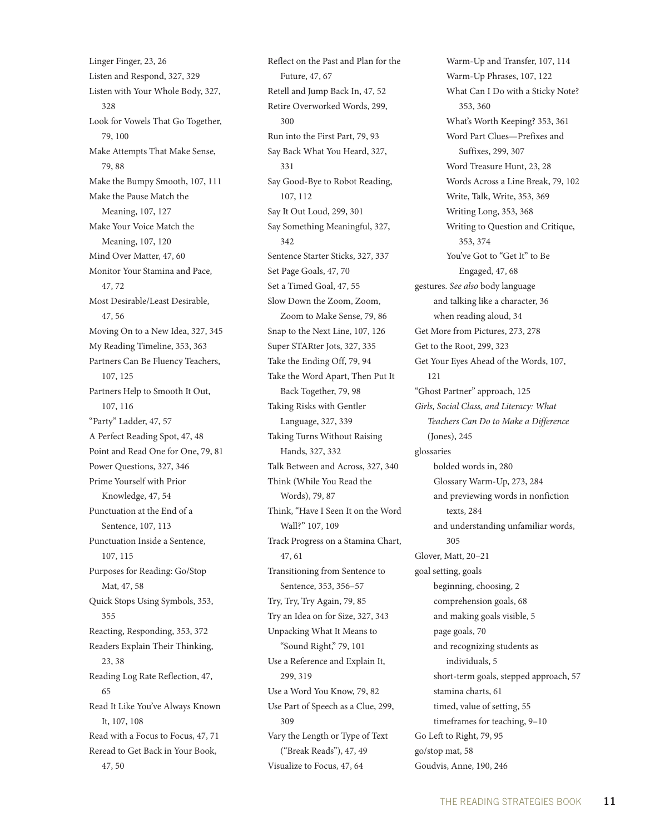Linger Finger, 23, 26 Listen and Respond, 327, 329 Listen with Your Whole Body, 327, 328 Look for Vowels That Go Together, 79, 100 Make Attempts That Make Sense, 79, 88 Make the Bumpy Smooth, 107, 111 Make the Pause Match the Meaning, 107, 127 Make Your Voice Match the Meaning, 107, 120 Mind Over Matter, 47, 60 Monitor Your Stamina and Pace, 47, 72 Most Desirable/Least Desirable, 47, 56 Moving On to a New Idea, 327, 345 My Reading Timeline, 353, 363 Partners Can Be Fluency Teachers, 107, 125 Partners Help to Smooth It Out, 107, 116 "Party" Ladder, 47, 57 A Perfect Reading Spot, 47, 48 Point and Read One for One, 79, 81 Power Questions, 327, 346 Prime Yourself with Prior Knowledge, 47, 54 Punctuation at the End of a Sentence, 107, 113 Punctuation Inside a Sentence, 107, 115 Purposes for Reading: Go/Stop Mat, 47, 58 Quick Stops Using Symbols, 353, 355 Reacting, Responding, 353, 372 Readers Explain Their Thinking, 23, 38 Reading Log Rate Reflection, 47, 65 Read It Like You've Always Known It, 107, 108 Read with a Focus to Focus, 47, 71 Reread to Get Back in Your Book, 47, 50

Reflect on the Past and Plan for the Future, 47, 67 Retell and Jump Back In, 47, 52 Retire Overworked Words, 299,  $300$ Run into the First Part, 79, 93 Say Back What You Heard, 327, 331 Say Good-Bye to Robot Reading, 107, 112 Say It Out Loud, 299, 301 Say Something Meaningful, 327, 342 Sentence Starter Sticks, 327, 337 Set Page Goals, 47, 70 Set a Timed Goal, 47, 55 Slow Down the Zoom, Zoom, Zoom to Make Sense, 79, 86 Snap to the Next Line, 107, 126 Super STARter Jots, 327, 335 Take the Ending Off, 79, 94 Take the Word Apart, Then Put It Back Together, 79, 98 Taking Risks with Gentler Language, 327, 339 Taking Turns Without Raising Hands, 327, 332 Talk Between and Across, 327, 340 Think (While You Read the Words), 79, 87 Think, "Have I Seen It on the Word Wall?" 107, 109 Track Progress on a Stamina Chart, 47, 61 Transitioning from Sentence to Sentence, 353, 356–57 Try, Try, Try Again, 79, 85 Try an Idea on for Size, 327, 343 Unpacking What It Means to "Sound Right," 79, 101 Use a Reference and Explain It, 299, 319 Use a Word You Know, 79, 82 Use Part of Speech as a Clue, 299, 309 Vary the Length or Type of Text ("Break Reads"), 47, 49 Visualize to Focus, 47, 64

Warm-Up and Transfer, 107, 114 Warm-Up Phrases, 107, 122 What Can I Do with a Sticky Note? 353, 360 What's Worth Keeping? 353, 361 Word Part Clues—Prefixes and Suffixes, 299, 307 Word Treasure Hunt, 23, 28 Words Across a Line Break, 79, 102 Write, Talk, Write, 353, 369 Writing Long, 353, 368 Writing to Question and Critique, 353, 374 You've Got to "Get It" to Be Engaged, 47, 68 gestures. *See also* body language and talking like a character, 36 when reading aloud, 34 Get More from Pictures, 273, 278 Get to the Root, 299, 323 Get Your Eyes Ahead of the Words, 107, 121 "Ghost Partner" approach, 125 *Girls, Social Class, and Literacy: What Teachers Can Do to Make a Difference*  (Jones), 245 glossaries bolded words in, 280 Glossary Warm-Up, 273, 284 and previewing words in nonfiction texts, 284 and understanding unfamiliar words, 305 Glover, Matt, 20–21 goal setting, goals beginning, choosing, 2 comprehension goals, 68 and making goals visible, 5 page goals, 70 and recognizing students as individuals, 5 short-term goals, stepped approach, 57 stamina charts, 61 timed, value of setting, 55 timeframes for teaching, 9–10 Go Left to Right, 79, 95 go/stop mat, 58 Goudvis, Anne, 190, 246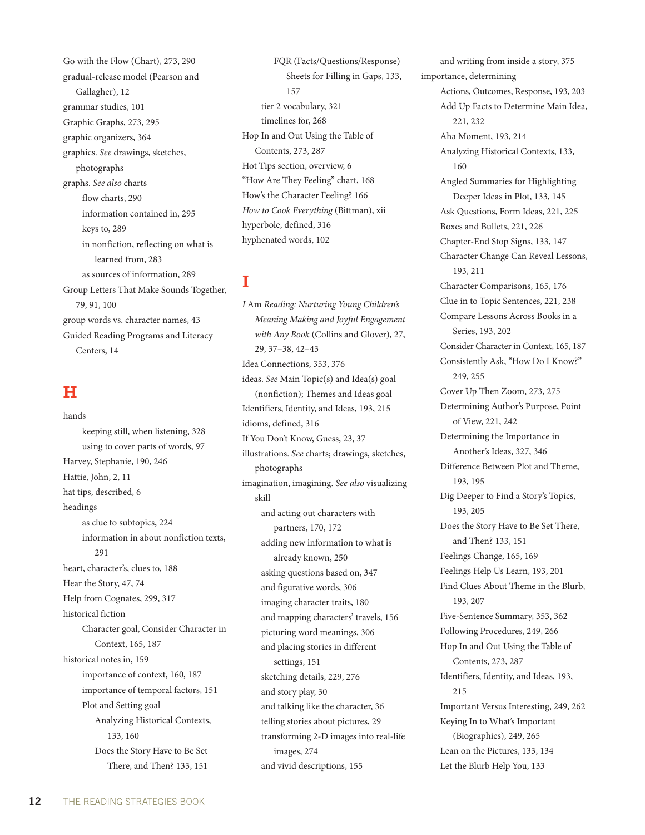Go with the Flow (Chart), 273, 290 gradual-release model (Pearson and Gallagher), 12 grammar studies, 101 Graphic Graphs, 273, 295 graphic organizers, 364 graphics. *See* drawings, sketches, photographs graphs. *See also* charts flow charts, 290 information contained in, 295 keys to, 289 in nonfiction, reflecting on what is learned from, 283 as sources of information, 289 Group Letters That Make Sounds Together, 79, 91, 100 group words vs. character names, 43 Guided Reading Programs and Literacy Centers, 14

#### **H**

hands keeping still, when listening, 328 using to cover parts of words, 97 Harvey, Stephanie, 190, 246 Hattie, John, 2, 11 hat tips, described, 6 headings as clue to subtopics, 224 information in about nonfiction texts,  $291$ heart, character's, clues to, 188 Hear the Story, 47, 74 Help from Cognates, 299, 317 historical fiction Character goal, Consider Character in Context, 165, 187 historical notes in, 159 importance of context, 160, 187 importance of temporal factors, 151 Plot and Setting goal Analyzing Historical Contexts, 133, 160 Does the Story Have to Be Set There, and Then? 133, 151

FQR (Facts/Questions/Response) Sheets for Filling in Gaps, 133, 157 tier 2 vocabulary, 321 timelines for, 268 Hop In and Out Using the Table of Contents, 273, 287 Hot Tips section, overview, 6 "How Are They Feeling" chart, 168 How's the Character Feeling? 166 *How to Cook Everything* (Bittman), xii hyperbole, defined, 316 hyphenated words, 102

# **I**

*I* Am *Reading: Nurturing Young Children's Meaning Making and Joyful Engagement with Any Book* (Collins and Glover), 27, 29, 37–38, 42–43 Idea Connections, 353, 376 ideas. *See* Main Topic(s) and Idea(s) goal (nonfiction); Themes and Ideas goal Identifiers, Identity, and Ideas, 193, 215 idioms, defined, 316 If You Don't Know, Guess, 23, 37 illustrations. *See* charts; drawings, sketches, photographs imagination, imagining. *See also* visualizing skill and acting out characters with partners, 170, 172 adding new information to what is already known, 250 asking questions based on, 347 and figurative words, 306 imaging character traits, 180 and mapping characters' travels, 156 picturing word meanings, 306 and placing stories in different settings, 151 sketching details, 229, 276 and story play, 30 and talking like the character, 36 telling stories about pictures, 29 transforming 2-D images into real-life images, 274 and vivid descriptions, 155

and writing from inside a story, 375 importance, determining Actions, Outcomes, Response, 193, 203 Add Up Facts to Determine Main Idea, 221, 232 Aha Moment, 193, 214 Analyzing Historical Contexts, 133, 160 Angled Summaries for Highlighting Deeper Ideas in Plot, 133, 145 Ask Questions, Form Ideas, 221, 225 Boxes and Bullets, 221, 226 Chapter-End Stop Signs, 133, 147 Character Change Can Reveal Lessons, 193, 211 Character Comparisons, 165, 176 Clue in to Topic Sentences, 221, 238 Compare Lessons Across Books in a Series, 193, 202 Consider Character in Context, 165, 187 Consistently Ask, "How Do I Know?" 249, 255 Cover Up Then Zoom, 273, 275 Determining Author's Purpose, Point of View, 221, 242 Determining the Importance in Another's Ideas, 327, 346 Difference Between Plot and Theme, 193, 195 Dig Deeper to Find a Story's Topics, 193, 205 Does the Story Have to Be Set There, and Then? 133, 151 Feelings Change, 165, 169 Feelings Help Us Learn, 193, 201 Find Clues About Theme in the Blurb, 193, 207 Five-Sentence Summary, 353, 362 Following Procedures, 249, 266 Hop In and Out Using the Table of Contents, 273, 287 Identifiers, Identity, and Ideas, 193, 215 Important Versus Interesting, 249, 262 Keying In to What's Important (Biographies), 249, 265 Lean on the Pictures, 133, 134 Let the Blurb Help You, 133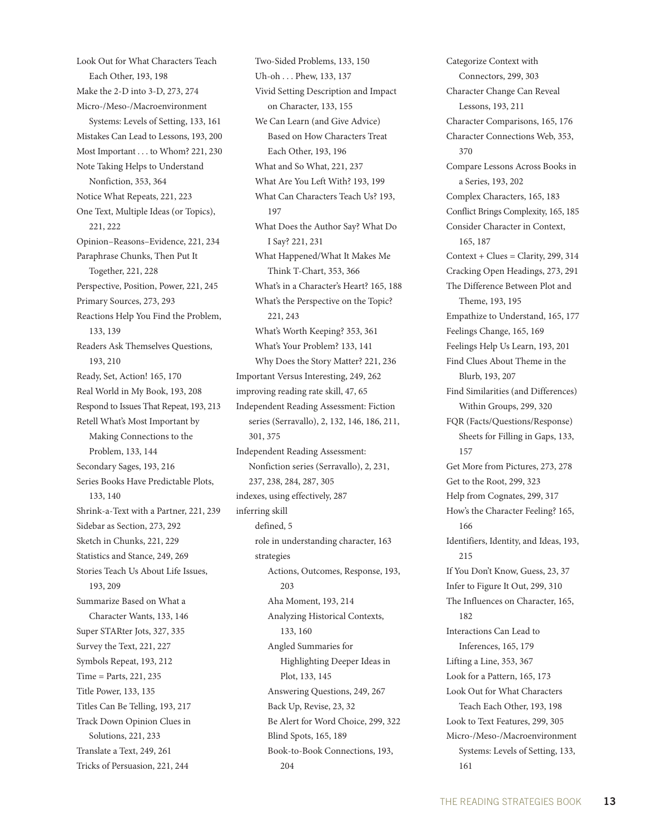Look Out for What Characters Teach Each Other, 193, 198 Make the 2-D into 3-D, 273, 274 Micro-/Meso-/Macroenvironment Systems: Levels of Setting, 133, 161 Mistakes Can Lead to Lessons, 193, 200 Most Important . . . to Whom? 221, 230 Note Taking Helps to Understand Nonfiction, 353, 364 Notice What Repeats, 221, 223 One Text, Multiple Ideas (or Topics), 221, 222 Opinion–Reasons–Evidence, 221, 234 Paraphrase Chunks, Then Put It Together, 221, 228 Perspective, Position, Power, 221, 245 Primary Sources, 273, 293 Reactions Help You Find the Problem, 133, 139 Readers Ask Themselves Questions, 193, 210 Ready, Set, Action! 165, 170 Real World in My Book, 193, 208 Respond to Issues That Repeat, 193, 213 Retell What's Most Important by Making Connections to the Problem, 133, 144 Secondary Sages, 193, 216 Series Books Have Predictable Plots, 133, 140 Shrink-a-Text with a Partner, 221, 239 Sidebar as Section, 273, 292 Sketch in Chunks, 221, 229 Statistics and Stance, 249, 269 Stories Teach Us About Life Issues, 193, 209 Summarize Based on What a Character Wants, 133, 146 Super STARter Jots, 327, 335 Survey the Text, 221, 227 Symbols Repeat, 193, 212 Time = Parts, 221, 235 Title Power, 133, 135 Titles Can Be Telling, 193, 217 Track Down Opinion Clues in Solutions, 221, 233 Translate a Text, 249, 261 Tricks of Persuasion, 221, 244

Two-Sided Problems, 133, 150 Uh-oh . . . Phew, 133, 137 Vivid Setting Description and Impact on Character, 133, 155 We Can Learn (and Give Advice) Based on How Characters Treat Each Other, 193, 196 What and So What, 221, 237 What Are You Left With? 193, 199 What Can Characters Teach Us? 193, 197 What Does the Author Say? What Do I Say? 221, 231 What Happened/What It Makes Me Think T-Chart, 353, 366 What's in a Character's Heart? 165, 188 What's the Perspective on the Topic? 221, 243 What's Worth Keeping? 353, 361 What's Your Problem? 133, 141 Why Does the Story Matter? 221, 236 Important Versus Interesting, 249, 262 improving reading rate skill, 47, 65 Independent Reading Assessment: Fiction series (Serravallo), 2, 132, 146, 186, 211, 301, 375 Independent Reading Assessment: Nonfiction series (Serravallo), 2, 231, 237, 238, 284, 287, 305 indexes, using effectively, 287 inferring skill defined, 5 role in understanding character, 163 strategies Actions, Outcomes, Response, 193, 203 Aha Moment, 193, 214 Analyzing Historical Contexts, 133, 160 Angled Summaries for Highlighting Deeper Ideas in Plot, 133, 145 Answering Questions, 249, 267 Back Up, Revise, 23, 32 Be Alert for Word Choice, 299, 322 Blind Spots, 165, 189 Book-to-Book Connections, 193, 204

Categorize Context with Connectors, 299, 303 Character Change Can Reveal Lessons, 193, 211 Character Comparisons, 165, 176 Character Connections Web, 353, 370 Compare Lessons Across Books in a Series, 193, 202 Complex Characters, 165, 183 Conflict Brings Complexity, 165, 185 Consider Character in Context, 165, 187  $Context + Clues = Clarity, 299, 314$ Cracking Open Headings, 273, 291 The Difference Between Plot and Theme, 193, 195 Empathize to Understand, 165, 177 Feelings Change, 165, 169 Feelings Help Us Learn, 193, 201 Find Clues About Theme in the Blurb, 193, 207 Find Similarities (and Differences) Within Groups, 299, 320 FQR (Facts/Questions/Response) Sheets for Filling in Gaps, 133, 157 Get More from Pictures, 273, 278 Get to the Root, 299, 323 Help from Cognates, 299, 317 How's the Character Feeling? 165, 166 Identifiers, Identity, and Ideas, 193,  $215$ If You Don't Know, Guess, 23, 37 Infer to Figure It Out, 299, 310 The Influences on Character, 165, 182 Interactions Can Lead to Inferences, 165, 179 Lifting a Line, 353, 367 Look for a Pattern, 165, 173 Look Out for What Characters Teach Each Other, 193, 198 Look to Text Features, 299, 305 Micro-/Meso-/Macroenvironment Systems: Levels of Setting, 133, 161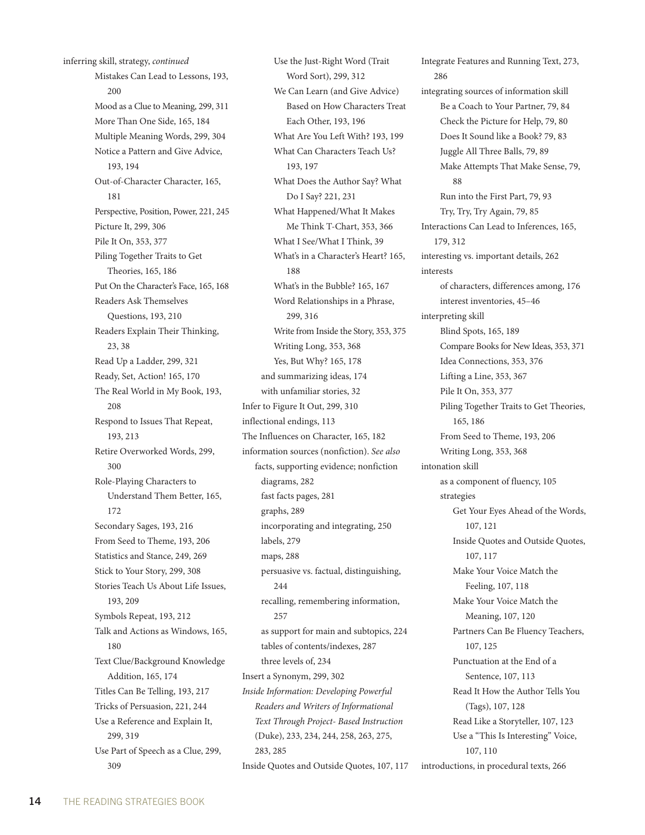inferring skill, strategy, *continued* Mistakes Can Lead to Lessons, 193, 200 Mood as a Clue to Meaning, 299, 311 More Than One Side, 165, 184 Multiple Meaning Words, 299, 304 Notice a Pattern and Give Advice, 193, 194 Out-of-Character Character, 165, 181 Perspective, Position, Power, 221, 245 Picture It, 299, 306 Pile It On, 353, 377 Piling Together Traits to Get Theories, 165, 186 Put On the Character's Face, 165, 168 Readers Ask Themselves Questions, 193, 210 Readers Explain Their Thinking, 23, 38 Read Up a Ladder, 299, 321 Ready, Set, Action! 165, 170 The Real World in My Book, 193, 208 Respond to Issues That Repeat, 193, 213 Retire Overworked Words, 299, 300 Role-Playing Characters to Understand Them Better, 165, 172 Secondary Sages, 193, 216 From Seed to Theme, 193, 206 Statistics and Stance, 249, 269 Stick to Your Story, 299, 308 Stories Teach Us About Life Issues, 193, 209 Symbols Repeat, 193, 212 Talk and Actions as Windows, 165, 180 Text Clue/Background Knowledge Addition, 165, 174 Titles Can Be Telling, 193, 217 Tricks of Persuasion, 221, 244 Use a Reference and Explain It, 299, 319 Use Part of Speech as a Clue, 299, 309

Use the Just-Right Word (Trait Word Sort), 299, 312 We Can Learn (and Give Advice) Based on How Characters Treat Each Other, 193, 196 What Are You Left With? 193, 199 What Can Characters Teach Us? 193, 197 What Does the Author Say? What Do I Say? 221, 231 What Happened/What It Makes Me Think T-Chart, 353, 366 What I See/What I Think, 39 What's in a Character's Heart? 165, 188 What's in the Bubble? 165, 167 Word Relationships in a Phrase, 299, 316 Write from Inside the Story, 353, 375 Writing Long, 353, 368 Yes, But Why? 165, 178 and summarizing ideas, 174 with unfamiliar stories, 32 Infer to Figure It Out, 299, 310 inflectional endings, 113 The Influences on Character, 165, 182 information sources (nonfiction). *See also* facts, supporting evidence; nonfiction diagrams, 282 fast facts pages, 281 graphs, 289 incorporating and integrating, 250 labels, 279 maps, 288 persuasive vs. factual, distinguishing, 244 recalling, remembering information, 257 as support for main and subtopics, 224 tables of contents/indexes, 287 three levels of, 234 Insert a Synonym, 299, 302 *Inside Information: Developing Powerful Readers and Writers of Informational Text Through Project- Based Instruction*  (Duke), 233, 234, 244, 258, 263, 275, 283, 285 Inside Quotes and Outside Quotes, 107, 117

Integrate Features and Running Text, 273, 286 integrating sources of information skill Be a Coach to Your Partner, 79, 84 Check the Picture for Help, 79, 80 Does It Sound like a Book? 79, 83 Juggle All Three Balls, 79, 89 Make Attempts That Make Sense, 79, 88 Run into the First Part, 79, 93 Try, Try, Try Again, 79, 85 Interactions Can Lead to Inferences, 165, 179, 312 interesting vs. important details, 262 interests of characters, differences among, 176 interest inventories, 45–46 interpreting skill Blind Spots, 165, 189 Compare Books for New Ideas, 353, 371 Idea Connections, 353, 376 Lifting a Line, 353, 367 Pile It On, 353, 377 Piling Together Traits to Get Theories, 165, 186 From Seed to Theme, 193, 206 Writing Long, 353, 368 intonation skill as a component of fluency, 105 strategies Get Your Eyes Ahead of the Words, 107, 121 Inside Quotes and Outside Quotes, 107, 117 Make Your Voice Match the Feeling, 107, 118 Make Your Voice Match the Meaning, 107, 120 Partners Can Be Fluency Teachers, 107, 125 Punctuation at the End of a Sentence, 107, 113 Read It How the Author Tells You (Tags), 107, 128 Read Like a Storyteller, 107, 123 Use a "This Is Interesting" Voice, 107, 110 introductions, in procedural texts, 266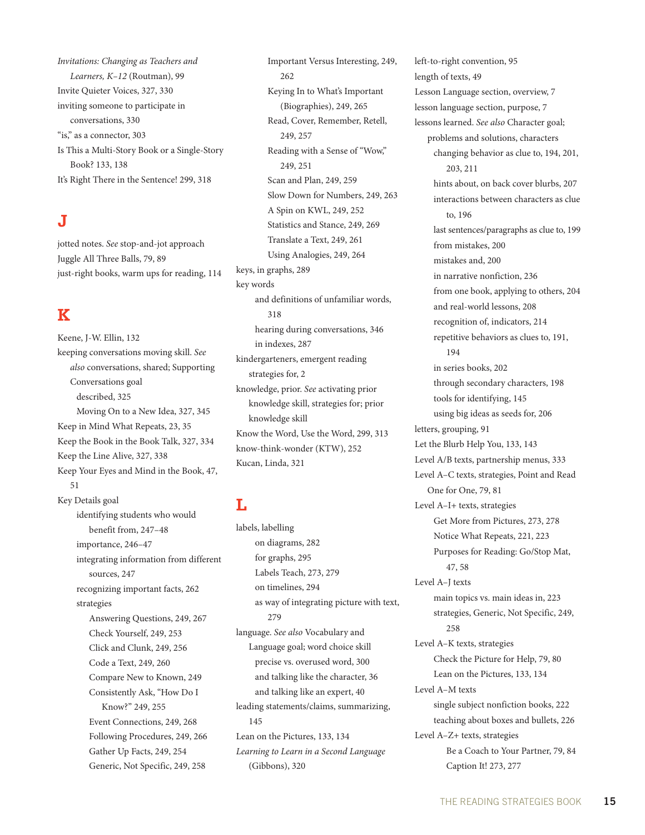*Invitations: Changing as Teachers and Learners, K–12* (Routman), 99 Invite Quieter Voices, 327, 330 inviting someone to participate in conversations, 330 "is," as a connector, 303 Is This a Multi-Story Book or a Single-Story Book? 133, 138 It's Right There in the Sentence! 299, 318

# **J**

jotted notes. *See* stop-and-jot approach Juggle All Three Balls, 79, 89 just-right books, warm ups for reading, 114

# **K**

Keene, J-W. Ellin, 132 keeping conversations moving skill. *See also* conversations, shared; Supporting Conversations goal described, 325 Moving On to a New Idea, 327, 345 Keep in Mind What Repeats, 23, 35 Keep the Book in the Book Talk, 327, 334 Keep the Line Alive, 327, 338 Keep Your Eyes and Mind in the Book, 47, 51 Key Details goal

identifying students who would benefit from, 247–48 importance, 246–47 integrating information from different sources, 247 recognizing important facts, 262 strategies Answering Questions, 249, 267 Check Yourself, 249, 253 Click and Clunk, 249, 256 Code a Text, 249, 260 Compare New to Known, 249 Consistently Ask, "How Do I Know?" 249, 255 Event Connections, 249, 268 Following Procedures, 249, 266 Gather Up Facts, 249, 254 Generic, Not Specific, 249, 258

Important Versus Interesting, 249, 262 Keying In to What's Important (Biographies), 249, 265 Read, Cover, Remember, Retell, 249, 257 Reading with a Sense of "Wow," 249, 251 Scan and Plan, 249, 259 Slow Down for Numbers, 249, 263 A Spin on KWL, 249, 252 Statistics and Stance, 249, 269 Translate a Text, 249, 261 Using Analogies, 249, 264 keys, in graphs, 289 key words and definitions of unfamiliar words, 318 hearing during conversations, 346 in indexes, 287 kindergarteners, emergent reading strategies for, 2 knowledge, prior. *See* activating prior knowledge skill, strategies for; prior knowledge skill Know the Word, Use the Word, 299, 313 know-think-wonder (KTW), 252 Kucan, Linda, 321

# **L**

labels, labelling on diagrams, 282 for graphs, 295 Labels Teach, 273, 279 on timelines, 294 as way of integrating picture with text, 279 language. *See also* Vocabulary and Language goal; word choice skill precise vs. overused word, 300 and talking like the character, 36 and talking like an expert, 40 leading statements/claims, summarizing, 145 Lean on the Pictures, 133, 134 *Learning to Learn in a Second Language*  (Gibbons), 320

left-to-right convention, 95 length of texts, 49 Lesson Language section, overview, 7 lesson language section, purpose, 7 lessons learned. *See also* Character goal; problems and solutions, characters changing behavior as clue to, 194, 201, 203, 211 hints about, on back cover blurbs, 207 interactions between characters as clue to, 196 last sentences/paragraphs as clue to, 199 from mistakes, 200 mistakes and, 200 in narrative nonfiction, 236 from one book, applying to others, 204 and real-world lessons, 208 recognition of, indicators, 214 repetitive behaviors as clues to, 191, 194 in series books, 202 through secondary characters, 198 tools for identifying, 145 using big ideas as seeds for, 206 letters, grouping, 91 Let the Blurb Help You, 133, 143 Level A/B texts, partnership menus, 333 Level A–C texts, strategies, Point and Read One for One, 79, 81 Level A–I+ texts, strategies Get More from Pictures, 273, 278 Notice What Repeats, 221, 223 Purposes for Reading: Go/Stop Mat, 47, 58 Level A–J texts main topics vs. main ideas in, 223 strategies, Generic, Not Specific, 249, 258 Level A–K texts, strategies Check the Picture for Help, 79, 80 Lean on the Pictures, 133, 134 Level A–M texts single subject nonfiction books, 222 teaching about boxes and bullets, 226 Level A–Z+ texts, strategies Be a Coach to Your Partner, 79, 84 Caption It! 273, 277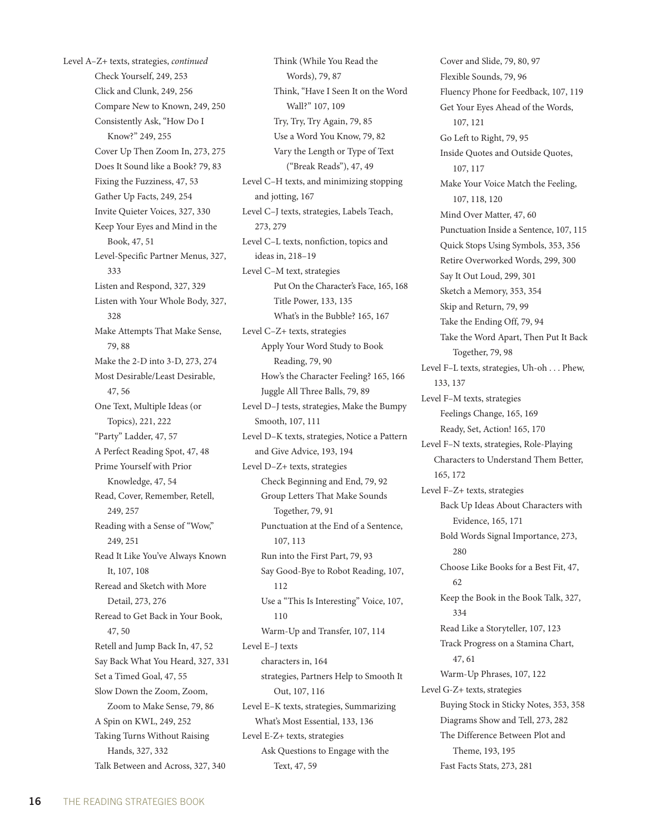Level A–Z+ texts, strategies, *continued* Check Yourself, 249, 253 Click and Clunk, 249, 256 Compare New to Known, 249, 250 Consistently Ask, "How Do I Know?" 249, 255 Cover Up Then Zoom In, 273, 275 Does It Sound like a Book? 79, 83 Fixing the Fuzziness, 47, 53 Gather Up Facts, 249, 254 Invite Quieter Voices, 327, 330 Keep Your Eyes and Mind in the Book, 47, 51 Level-Specific Partner Menus, 327, 333 Listen and Respond, 327, 329 Listen with Your Whole Body, 327, 328 Make Attempts That Make Sense, 79, 88 Make the 2-D into 3-D, 273, 274 Most Desirable/Least Desirable, 47, 56 One Text, Multiple Ideas (or Topics), 221, 222 "Party" Ladder, 47, 57 A Perfect Reading Spot, 47, 48 Prime Yourself with Prior Knowledge, 47, 54 Read, Cover, Remember, Retell, 249, 257 Reading with a Sense of "Wow," 249, 251 Read It Like You've Always Known It, 107, 108 Reread and Sketch with More Detail, 273, 276 Reread to Get Back in Your Book, 47, 50 Retell and Jump Back In, 47, 52 Say Back What You Heard, 327, 331 Set a Timed Goal, 47, 55 Slow Down the Zoom, Zoom, Zoom to Make Sense, 79, 86 A Spin on KWL, 249, 252 Taking Turns Without Raising Hands, 327, 332 Talk Between and Across, 327, 340

Think (While You Read the Words), 79, 87 Think, "Have I Seen It on the Word Wall?" 107, 109 Try, Try, Try Again, 79, 85 Use a Word You Know, 79, 82 Vary the Length or Type of Text ("Break Reads"), 47, 49 Level C–H texts, and minimizing stopping and jotting, 167 Level C–J texts, strategies, Labels Teach, 273, 279 Level C–L texts, nonfiction, topics and ideas in, 218–19 Level C–M text, strategies Put On the Character's Face, 165, 168 Title Power, 133, 135 What's in the Bubble? 165, 167 Level C–Z+ texts, strategies Apply Your Word Study to Book Reading, 79, 90 How's the Character Feeling? 165, 166 Juggle All Three Balls, 79, 89 Level D–J tests, strategies, Make the Bumpy Smooth, 107, 111 Level D–K texts, strategies, Notice a Pattern and Give Advice, 193, 194 Level D–Z+ texts, strategies Check Beginning and End, 79, 92 Group Letters That Make Sounds Together, 79, 91 Punctuation at the End of a Sentence, 107, 113 Run into the First Part, 79, 93 Say Good-Bye to Robot Reading, 107, 112 Use a "This Is Interesting" Voice, 107, 110 Warm-Up and Transfer, 107, 114 Level E–J texts characters in, 164 strategies, Partners Help to Smooth It Out, 107, 116 Level E–K texts, strategies, Summarizing What's Most Essential, 133, 136 Level E-Z+ texts, strategies Ask Questions to Engage with the Text, 47, 59

Cover and Slide, 79, 80, 97 Flexible Sounds, 79, 96 Fluency Phone for Feedback, 107, 119 Get Your Eyes Ahead of the Words, 107, 121 Go Left to Right, 79, 95 Inside Quotes and Outside Quotes, 107, 117 Make Your Voice Match the Feeling, 107, 118, 120 Mind Over Matter, 47, 60 Punctuation Inside a Sentence, 107, 115 Quick Stops Using Symbols, 353, 356 Retire Overworked Words, 299, 300 Say It Out Loud, 299, 301 Sketch a Memory, 353, 354 Skip and Return, 79, 99 Take the Ending Off, 79, 94 Take the Word Apart, Then Put It Back Together, 79, 98 Level F–L texts, strategies, Uh-oh . . . Phew, 133, 137 Level F–M texts, strategies Feelings Change, 165, 169 Ready, Set, Action! 165, 170 Level F–N texts, strategies, Role-Playing Characters to Understand Them Better, 165, 172 Level F–Z+ texts, strategies Back Up Ideas About Characters with Evidence, 165, 171 Bold Words Signal Importance, 273, 280 Choose Like Books for a Best Fit, 47, 62 Keep the Book in the Book Talk, 327, 334 Read Like a Storyteller, 107, 123 Track Progress on a Stamina Chart, 47, 61 Warm-Up Phrases, 107, 122 Level G-Z+ texts, strategies Buying Stock in Sticky Notes, 353, 358 Diagrams Show and Tell, 273, 282 The Difference Between Plot and Theme, 193, 195 Fast Facts Stats, 273, 281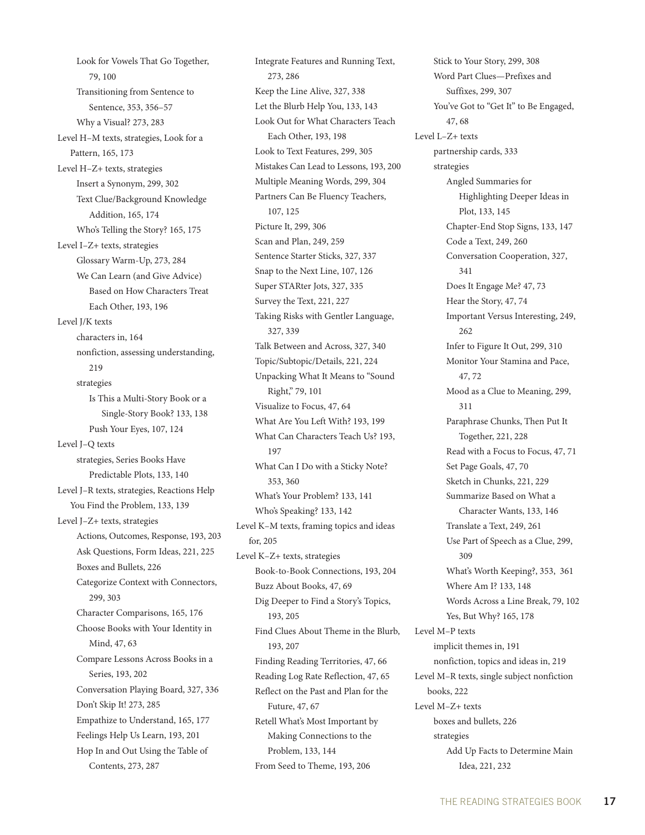Look for Vowels That Go Together, 79, 100 Transitioning from Sentence to Sentence, 353, 356–57 Why a Visual? 273, 283 Level H–M texts, strategies, Look for a Pattern, 165, 173 Level H–Z+ texts, strategies Insert a Synonym, 299, 302 Text Clue/Background Knowledge Addition, 165, 174 Who's Telling the Story? 165, 175 Level I–Z+ texts, strategies Glossary Warm-Up, 273, 284 We Can Learn (and Give Advice) Based on How Characters Treat Each Other, 193, 196 Level J/K texts characters in, 164 nonfiction, assessing understanding, 219 strategies Is This a Multi-Story Book or a Single-Story Book? 133, 138 Push Your Eyes, 107, 124 Level J–Q texts strategies, Series Books Have Predictable Plots, 133, 140 Level J–R texts, strategies, Reactions Help You Find the Problem, 133, 139 Level J–Z+ texts, strategies Actions, Outcomes, Response, 193, 203 Ask Questions, Form Ideas, 221, 225 Boxes and Bullets, 226 Categorize Context with Connectors, 299, 303 Character Comparisons, 165, 176 Choose Books with Your Identity in Mind, 47, 63 Compare Lessons Across Books in a Series, 193, 202 Conversation Playing Board, 327, 336 Don't Skip It! 273, 285 Empathize to Understand, 165, 177 Feelings Help Us Learn, 193, 201 Hop In and Out Using the Table of Contents, 273, 287

Integrate Features and Running Text, 273, 286 Keep the Line Alive, 327, 338 Let the Blurb Help You, 133, 143 Look Out for What Characters Teach Each Other, 193, 198 Look to Text Features, 299, 305 Mistakes Can Lead to Lessons, 193, 200 Multiple Meaning Words, 299, 304 Partners Can Be Fluency Teachers, 107, 125 Picture It, 299, 306 Scan and Plan, 249, 259 Sentence Starter Sticks, 327, 337 Snap to the Next Line, 107, 126 Super STARter Jots, 327, 335 Survey the Text, 221, 227 Taking Risks with Gentler Language, 327, 339 Talk Between and Across, 327, 340 Topic/Subtopic/Details, 221, 224 Unpacking What It Means to "Sound Right," 79, 101 Visualize to Focus, 47, 64 What Are You Left With? 193, 199 What Can Characters Teach Us? 193, 197 What Can I Do with a Sticky Note? 353, 360 What's Your Problem? 133, 141 Who's Speaking? 133, 142 Level K–M texts, framing topics and ideas for, 205 Level K–Z+ texts, strategies Book-to-Book Connections, 193, 204 Buzz About Books, 47, 69 Dig Deeper to Find a Story's Topics, 193, 205 Find Clues About Theme in the Blurb, 193, 207 Finding Reading Territories, 47, 66 Reading Log Rate Reflection, 47, 65 Reflect on the Past and Plan for the Future, 47, 67 Retell What's Most Important by Making Connections to the Problem, 133, 144 From Seed to Theme, 193, 206

Stick to Your Story, 299, 308 Word Part Clues—Prefixes and Suffixes, 299, 307 You've Got to "Get It" to Be Engaged, 47, 68 Level L–Z+ texts partnership cards, 333 strategies Angled Summaries for Highlighting Deeper Ideas in Plot, 133, 145 Chapter-End Stop Signs, 133, 147 Code a Text, 249, 260 Conversation Cooperation, 327, 341 Does It Engage Me? 47, 73 Hear the Story, 47, 74 Important Versus Interesting, 249, 262 Infer to Figure It Out, 299, 310 Monitor Your Stamina and Pace, 47, 72 Mood as a Clue to Meaning, 299, 311 Paraphrase Chunks, Then Put It Together, 221, 228 Read with a Focus to Focus, 47, 71 Set Page Goals, 47, 70 Sketch in Chunks, 221, 229 Summarize Based on What a Character Wants, 133, 146 Translate a Text, 249, 261 Use Part of Speech as a Clue, 299, 309 What's Worth Keeping?, 353, 361 Where Am I? 133, 148 Words Across a Line Break, 79, 102 Yes, But Why? 165, 178 Level M–P texts implicit themes in, 191 nonfiction, topics and ideas in, 219 Level M–R texts, single subject nonfiction books, 222 Level M–Z+ texts boxes and bullets, 226 strategies Add Up Facts to Determine Main Idea, 221, 232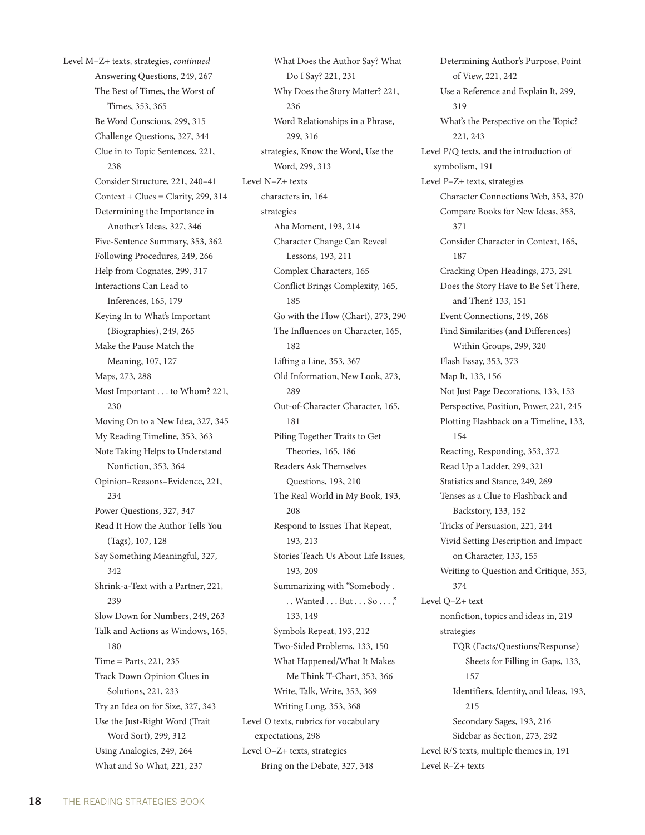Level M–Z+ texts, strategies, *continued* Answering Questions, 249, 267 The Best of Times, the Worst of Times, 353, 365 Be Word Conscious, 299, 315 Challenge Questions, 327, 344 Clue in to Topic Sentences, 221, 238 Consider Structure, 221, 240–41  $Context + Clues = Clarity, 299, 314$ Determining the Importance in Another's Ideas, 327, 346 Five-Sentence Summary, 353, 362 Following Procedures, 249, 266 Help from Cognates, 299, 317 Interactions Can Lead to Inferences, 165, 179 Keying In to What's Important (Biographies), 249, 265 Make the Pause Match the Meaning, 107, 127 Maps, 273, 288 Most Important . . . to Whom? 221, 230 Moving On to a New Idea, 327, 345 My Reading Timeline, 353, 363 Note Taking Helps to Understand Nonfiction, 353, 364 Opinion–Reasons–Evidence, 221, 234 Power Questions, 327, 347 Read It How the Author Tells You (Tags), 107, 128 Say Something Meaningful, 327, 342 Shrink-a-Text with a Partner, 221, 239 Slow Down for Numbers, 249, 263 Talk and Actions as Windows, 165, 180 Time = Parts, 221, 235 Track Down Opinion Clues in Solutions, 221, 233 Try an Idea on for Size, 327, 343 Use the Just-Right Word (Trait Word Sort), 299, 312 Using Analogies, 249, 264 What and So What, 221, 237

What Does the Author Say? What Do I Say? 221, 231 Why Does the Story Matter? 221, 236 Word Relationships in a Phrase, 299, 316 strategies, Know the Word, Use the Word, 299, 313 Level N–Z+ texts characters in, 164 strategies Aha Moment, 193, 214 Character Change Can Reveal Lessons, 193, 211 Complex Characters, 165 Conflict Brings Complexity, 165, 185 Go with the Flow (Chart), 273, 290 The Influences on Character, 165, 182 Lifting a Line, 353, 367 Old Information, New Look, 273, 289 Out-of-Character Character, 165, 181 Piling Together Traits to Get Theories, 165, 186 Readers Ask Themselves Questions, 193, 210 The Real World in My Book, 193, 208 Respond to Issues That Repeat, 193, 213 Stories Teach Us About Life Issues, 193, 209 Summarizing with "Somebody . . . Wanted . . . But . . . So . . . ," 133, 149 Symbols Repeat, 193, 212 Two-Sided Problems, 133, 150 What Happened/What It Makes Me Think T-Chart, 353, 366 Write, Talk, Write, 353, 369 Writing Long, 353, 368 Level O texts, rubrics for vocabulary expectations, 298 Level O–Z+ texts, strategies Bring on the Debate, 327, 348

Determining Author's Purpose, Point of View, 221, 242 Use a Reference and Explain It, 299, 319 What's the Perspective on the Topic? 221, 243 Level P/Q texts, and the introduction of symbolism, 191 Level P–Z+ texts, strategies Character Connections Web, 353, 370 Compare Books for New Ideas, 353, 371 Consider Character in Context, 165, 187 Cracking Open Headings, 273, 291 Does the Story Have to Be Set There, and Then? 133, 151 Event Connections, 249, 268 Find Similarities (and Differences) Within Groups, 299, 320 Flash Essay, 353, 373 Map It, 133, 156 Not Just Page Decorations, 133, 153 Perspective, Position, Power, 221, 245 Plotting Flashback on a Timeline, 133, 154 Reacting, Responding, 353, 372 Read Up a Ladder, 299, 321 Statistics and Stance, 249, 269 Tenses as a Clue to Flashback and Backstory, 133, 152 Tricks of Persuasion, 221, 244 Vivid Setting Description and Impact on Character, 133, 155 Writing to Question and Critique, 353, 374 Level Q–Z+ text nonfiction, topics and ideas in, 219 strategies FQR (Facts/Questions/Response) Sheets for Filling in Gaps, 133, 157 Identifiers, Identity, and Ideas, 193, 215 Secondary Sages, 193, 216 Sidebar as Section, 273, 292 Level R/S texts, multiple themes in, 191 Level R–Z+ texts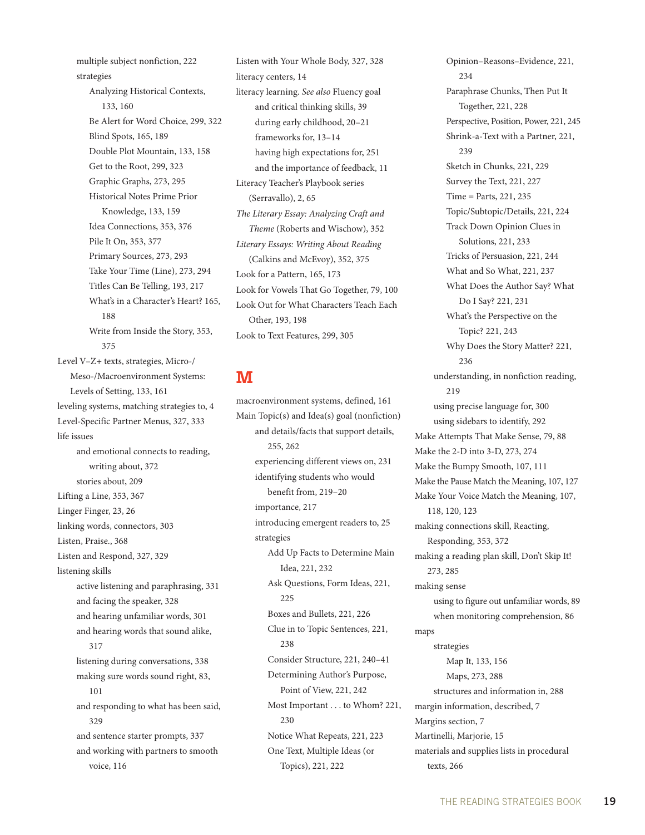multiple subject nonfiction, 222 strategies Analyzing Historical Contexts, 133, 160 Be Alert for Word Choice, 299, 322 Blind Spots, 165, 189 Double Plot Mountain, 133, 158 Get to the Root, 299, 323 Graphic Graphs, 273, 295 Historical Notes Prime Prior Knowledge, 133, 159 Idea Connections, 353, 376 Pile It On, 353, 377 Primary Sources, 273, 293 Take Your Time (Line), 273, 294 Titles Can Be Telling, 193, 217 What's in a Character's Heart? 165, 188 Write from Inside the Story, 353, 375 Level V–Z+ texts, strategies, Micro-/ Meso-/Macroenvironment Systems: Levels of Setting, 133, 161 leveling systems, matching strategies to, 4 Level-Specific Partner Menus, 327, 333 life issues and emotional connects to reading, writing about, 372 stories about, 209 Lifting a Line, 353, 367 Linger Finger, 23, 26 linking words, connectors, 303 Listen, Praise., 368 Listen and Respond, 327, 329 listening skills active listening and paraphrasing, 331 and facing the speaker, 328 and hearing unfamiliar words, 301 and hearing words that sound alike, 317 listening during conversations, 338 making sure words sound right, 83, 101 and responding to what has been said, 329 and sentence starter prompts, 337 and working with partners to smooth voice, 116

Listen with Your Whole Body, 327, 328 literacy centers, 14 literacy learning. *See also* Fluency goal and critical thinking skills, 39 during early childhood, 20–21 frameworks for, 13–14 having high expectations for, 251 and the importance of feedback, 11 Literacy Teacher's Playbook series (Serravallo), 2, 65 *The Literary Essay: Analyzing Craft and Theme* (Roberts and Wischow), 352 *Literary Essays: Writing About Reading* (Calkins and McEvoy), 352, 375 Look for a Pattern, 165, 173 Look for Vowels That Go Together, 79, 100 Look Out for What Characters Teach Each Other, 193, 198 Look to Text Features, 299, 305

#### **M**

macroenvironment systems, defined, 161 Main Topic(s) and Idea(s) goal (nonfiction) and details/facts that support details, 255, 262 experiencing different views on, 231 identifying students who would benefit from, 219–20 importance, 217 introducing emergent readers to, 25 strategies Add Up Facts to Determine Main Idea, 221, 232 Ask Questions, Form Ideas, 221, 225 Boxes and Bullets, 221, 226 Clue in to Topic Sentences, 221, 238 Consider Structure, 221, 240–41 Determining Author's Purpose, Point of View, 221, 242 Most Important . . . to Whom? 221, 230 Notice What Repeats, 221, 223 One Text, Multiple Ideas (or Topics), 221, 222

Opinion–Reasons–Evidence, 221, 234 Paraphrase Chunks, Then Put It Together, 221, 228 Perspective, Position, Power, 221, 245 Shrink-a-Text with a Partner, 221,  $239$ Sketch in Chunks, 221, 229 Survey the Text, 221, 227 Time = Parts, 221, 235 Topic/Subtopic/Details, 221, 224 Track Down Opinion Clues in Solutions, 221, 233 Tricks of Persuasion, 221, 244 What and So What, 221, 237 What Does the Author Say? What Do I Say? 221, 231 What's the Perspective on the Topic? 221, 243 Why Does the Story Matter? 221, 236 understanding, in nonfiction reading, 219 using precise language for, 300 using sidebars to identify, 292 Make Attempts That Make Sense, 79, 88 Make the 2-D into 3-D, 273, 274 Make the Bumpy Smooth, 107, 111 Make the Pause Match the Meaning, 107, 127 Make Your Voice Match the Meaning, 107, 118, 120, 123 making connections skill, Reacting, Responding, 353, 372 making a reading plan skill, Don't Skip It! 273, 285 making sense using to figure out unfamiliar words, 89 when monitoring comprehension, 86 maps strategies Map It, 133, 156 Maps, 273, 288 structures and information in, 288 margin information, described, 7 Margins section, 7 Martinelli, Marjorie, 15 materials and supplies lists in procedural texts, 266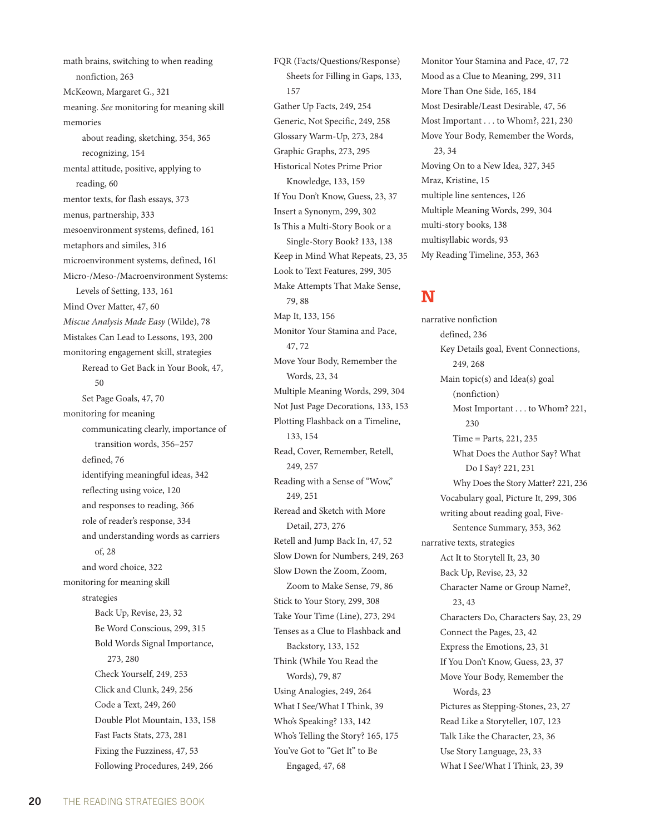math brains, switching to when reading nonfiction, 263 McKeown, Margaret G., 321 meaning. *See* monitoring for meaning skill memories about reading, sketching, 354, 365 recognizing, 154 mental attitude, positive, applying to reading, 60 mentor texts, for flash essays, 373 menus, partnership, 333 mesoenvironment systems, defined, 161 metaphors and similes, 316 microenvironment systems, defined, 161 Micro-/Meso-/Macroenvironment Systems: Levels of Setting, 133, 161 Mind Over Matter, 47, 60 *Miscue Analysis Made Easy* (Wilde), 78 Mistakes Can Lead to Lessons, 193, 200 monitoring engagement skill, strategies Reread to Get Back in Your Book, 47, 50 Set Page Goals, 47, 70 monitoring for meaning communicating clearly, importance of transition words, 356–257 defined, 76 identifying meaningful ideas, 342 reflecting using voice, 120 and responses to reading, 366 role of reader's response, 334 and understanding words as carriers of, 28 and word choice, 322 monitoring for meaning skill strategies Back Up, Revise, 23, 32 Be Word Conscious, 299, 315 Bold Words Signal Importance, 273, 280 Check Yourself, 249, 253 Click and Clunk, 249, 256 Code a Text, 249, 260 Double Plot Mountain, 133, 158 Fast Facts Stats, 273, 281 Fixing the Fuzziness, 47, 53 Following Procedures, 249, 266

FQR (Facts/Questions/Response) Sheets for Filling in Gaps, 133, 157 Gather Up Facts, 249, 254 Generic, Not Specific, 249, 258 Glossary Warm-Up, 273, 284 Graphic Graphs, 273, 295 Historical Notes Prime Prior Knowledge, 133, 159 If You Don't Know, Guess, 23, 37 Insert a Synonym, 299, 302 Is This a Multi-Story Book or a Single-Story Book? 133, 138 Keep in Mind What Repeats, 23, 35 Look to Text Features, 299, 305 Make Attempts That Make Sense, 79, 88 Map It, 133, 156 Monitor Your Stamina and Pace, 47, 72 Move Your Body, Remember the Words, 23, 34 Multiple Meaning Words, 299, 304 Not Just Page Decorations, 133, 153 Plotting Flashback on a Timeline, 133, 154 Read, Cover, Remember, Retell, 249, 257 Reading with a Sense of "Wow," 249, 251 Reread and Sketch with More Detail, 273, 276 Retell and Jump Back In, 47, 52 Slow Down for Numbers, 249, 263 Slow Down the Zoom, Zoom, Zoom to Make Sense, 79, 86 Stick to Your Story, 299, 308 Take Your Time (Line), 273, 294 Tenses as a Clue to Flashback and Backstory, 133, 152 Think (While You Read the Words), 79, 87 Using Analogies, 249, 264 What I See/What I Think, 39 Who's Speaking? 133, 142 Who's Telling the Story? 165, 175 You've Got to "Get It" to Be Engaged, 47, 68

Monitor Your Stamina and Pace, 47, 72 Mood as a Clue to Meaning, 299, 311 More Than One Side, 165, 184 Most Desirable/Least Desirable, 47, 56 Most Important . . . to Whom?, 221, 230 Move Your Body, Remember the Words, 23, 34 Moving On to a New Idea, 327, 345 Mraz, Kristine, 15 multiple line sentences, 126 Multiple Meaning Words, 299, 304 multi-story books, 138 multisyllabic words, 93 My Reading Timeline, 353, 363

# **N**

narrative nonfiction defined, 236 Key Details goal, Event Connections, 249, 268 Main topic(s) and Idea(s) goal (nonfiction) Most Important . . . to Whom? 221, 230 Time = Parts, 221, 235 What Does the Author Say? What Do I Say? 221, 231 Why Does the Story Matter? 221, 236 Vocabulary goal, Picture It, 299, 306 writing about reading goal, Five-Sentence Summary, 353, 362 narrative texts, strategies Act It to Storytell It, 23, 30 Back Up, Revise, 23, 32 Character Name or Group Name?, 23, 43 Characters Do, Characters Say, 23, 29 Connect the Pages, 23, 42 Express the Emotions, 23, 31 If You Don't Know, Guess, 23, 37 Move Your Body, Remember the Words, 23 Pictures as Stepping-Stones, 23, 27 Read Like a Storyteller, 107, 123 Talk Like the Character, 23, 36 Use Story Language, 23, 33 What I See/What I Think, 23, 39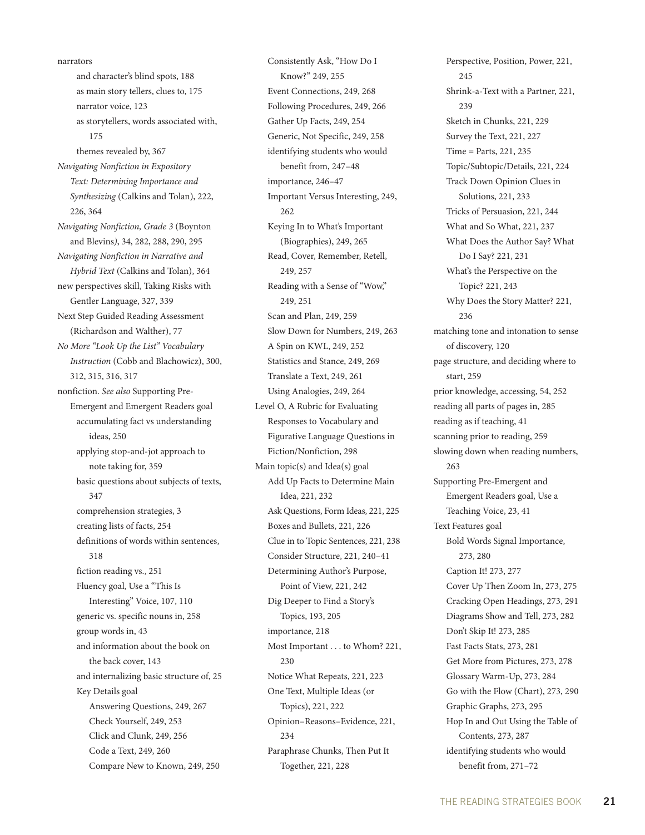and character's blind spots, 188 as main story tellers, clues to, 175 narrator voice, 123 as storytellers, words associated with, 175 themes revealed by, 367 *Navigating Nonfiction in Expository Text: Determining Importance and Synthesizing* (Calkins and Tolan), 222, 226, 364 *Navigating Nonfiction, Grade 3* (Boynton and Blevins*)*, 34, 282, 288, 290, 295 *Navigating Nonfiction in Narrative and Hybrid Text* (Calkins and Tolan), 364 new perspectives skill, Taking Risks with Gentler Language, 327, 339 Next Step Guided Reading Assessment (Richardson and Walther), 77 *No More "Look Up the List" Vocabulary Instruction* (Cobb and Blachowicz), 300, 312, 315, 316, 317 nonfiction. *See also* Supporting Pre-Emergent and Emergent Readers goal accumulating fact vs understanding ideas, 250 applying stop-and-jot approach to note taking for, 359 basic questions about subjects of texts, 347 comprehension strategies, 3 creating lists of facts, 254 definitions of words within sentences, 318 fiction reading vs., 251 Fluency goal, Use a "This Is Interesting" Voice, 107, 110 generic vs. specific nouns in, 258 group words in, 43 and information about the book on

narrators

the back cover, 143 and internalizing basic structure of, 25 Key Details goal Answering Questions, 249, 267 Check Yourself, 249, 253 Click and Clunk, 249, 256 Code a Text, 249, 260 Compare New to Known, 249, 250

Consistently Ask, "How Do I Know?" 249, 255 Event Connections, 249, 268 Following Procedures, 249, 266 Gather Up Facts, 249, 254 Generic, Not Specific, 249, 258 identifying students who would benefit from, 247–48 importance, 246–47 Important Versus Interesting, 249, 262 Keying In to What's Important (Biographies), 249, 265 Read, Cover, Remember, Retell, 249, 257 Reading with a Sense of "Wow," 249, 251 Scan and Plan, 249, 259 Slow Down for Numbers, 249, 263 A Spin on KWL, 249, 252 Statistics and Stance, 249, 269 Translate a Text, 249, 261 Using Analogies, 249, 264 Level O, A Rubric for Evaluating Responses to Vocabulary and Figurative Language Questions in Fiction/Nonfiction, 298 Main topic(s) and Idea(s) goal Add Up Facts to Determine Main Idea, 221, 232 Ask Questions, Form Ideas, 221, 225 Boxes and Bullets, 221, 226 Clue in to Topic Sentences, 221, 238 Consider Structure, 221, 240–41 Determining Author's Purpose, Point of View, 221, 242 Dig Deeper to Find a Story's Topics, 193, 205 importance, 218 Most Important . . . to Whom? 221, 230 Notice What Repeats, 221, 223 One Text, Multiple Ideas (or Topics), 221, 222 Opinion–Reasons–Evidence, 221, 234 Paraphrase Chunks, Then Put It Together, 221, 228

Perspective, Position, Power, 221, 245 Shrink-a-Text with a Partner, 221, 239 Sketch in Chunks, 221, 229 Survey the Text, 221, 227 Time = Parts, 221, 235 Topic/Subtopic/Details, 221, 224 Track Down Opinion Clues in Solutions, 221, 233 Tricks of Persuasion, 221, 244 What and So What, 221, 237 What Does the Author Say? What Do I Say? 221, 231 What's the Perspective on the Topic? 221, 243 Why Does the Story Matter? 221, 236 matching tone and intonation to sense of discovery, 120 page structure, and deciding where to start, 259 prior knowledge, accessing, 54, 252 reading all parts of pages in, 285 reading as if teaching, 41 scanning prior to reading, 259 slowing down when reading numbers, 263 Supporting Pre-Emergent and Emergent Readers goal, Use a Teaching Voice, 23, 41 Text Features goal Bold Words Signal Importance, 273, 280 Caption It! 273, 277 Cover Up Then Zoom In, 273, 275 Cracking Open Headings, 273, 291 Diagrams Show and Tell, 273, 282 Don't Skip It! 273, 285 Fast Facts Stats, 273, 281 Get More from Pictures, 273, 278 Glossary Warm-Up, 273, 284 Go with the Flow (Chart), 273, 290 Graphic Graphs, 273, 295 Hop In and Out Using the Table of Contents, 273, 287 identifying students who would benefit from, 271–72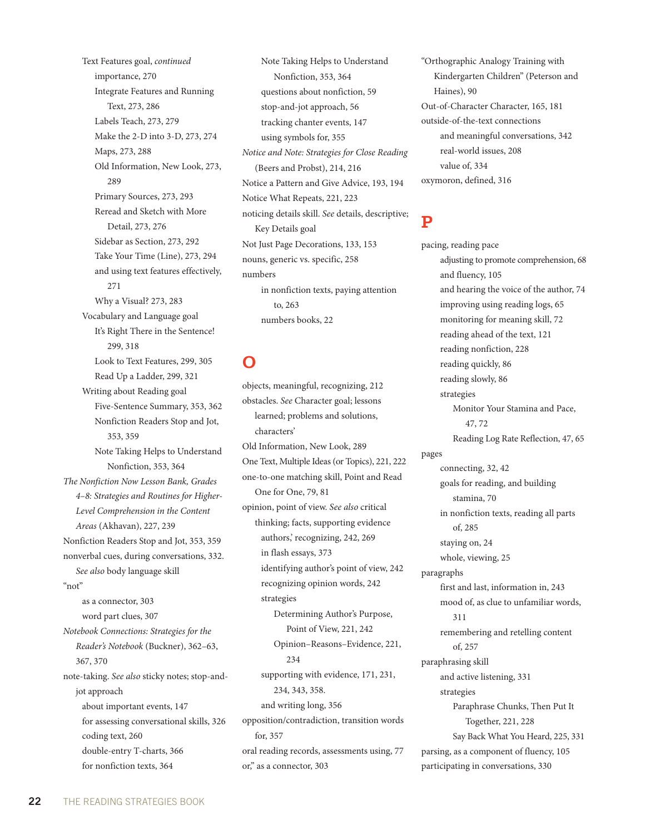Text Features goal, *continued* importance, 270 Integrate Features and Running Text, 273, 286 Labels Teach, 273, 279 Make the 2-D into 3-D, 273, 274 Maps, 273, 288 Old Information, New Look, 273, 289 Primary Sources, 273, 293 Reread and Sketch with More Detail, 273, 276 Sidebar as Section, 273, 292 Take Your Time (Line), 273, 294 and using text features effectively, 271 Why a Visual? 273, 283 Vocabulary and Language goal It's Right There in the Sentence! 299, 318 Look to Text Features, 299, 305 Read Up a Ladder, 299, 321 Writing about Reading goal Five-Sentence Summary, 353, 362 Nonfiction Readers Stop and Jot, 353, 359 Note Taking Helps to Understand Nonfiction, 353, 364 *The Nonfiction Now Lesson Bank, Grades 4–8: Strategies and Routines for Higher-Level Comprehension in the Content Areas* (Akhavan), 227, 239 Nonfiction Readers Stop and Jot, 353, 359 nonverbal cues, during conversations, 332. *See also* body language skill "not" as a connector, 303 word part clues, 307 *Notebook Connections: Strategies for the Reader's Notebook* (Buckner), 362–63, 367, 370 note-taking. *See also* sticky notes; stop-andjot approach about important events, 147 for assessing conversational skills, 326 coding text, 260 double-entry T-charts, 366 for nonfiction texts, 364

Note Taking Helps to Understand Nonfiction, 353, 364 questions about nonfiction, 59 stop-and-jot approach, 56 tracking chanter events, 147 using symbols for, 355 *Notice and Note: Strategies for Close Reading*  (Beers and Probst), 214, 216 Notice a Pattern and Give Advice, 193, 194 Notice What Repeats, 221, 223 noticing details skill. *See* details, descriptive; Key Details goal Not Just Page Decorations, 133, 153 nouns, generic vs. specific, 258 numbers in nonfiction texts, paying attention to, 263 numbers books, 22

**O**

objects, meaningful, recognizing, 212 obstacles. *See* Character goal; lessons learned; problems and solutions, characters' Old Information, New Look, 289 One Text, Multiple Ideas (or Topics), 221, 222 one-to-one matching skill, Point and Read One for One, 79, 81 opinion, point of view. *See also* critical thinking; facts, supporting evidence authors,' recognizing, 242, 269 in flash essays, 373 identifying author's point of view, 242 recognizing opinion words, 242 strategies Determining Author's Purpose, Point of View, 221, 242 Opinion–Reasons–Evidence, 221, 234 supporting with evidence, 171, 231, 234, 343, 358. and writing long, 356 opposition/contradiction, transition words for, 357 oral reading records, assessments using, 77 or," as a connector, 303

"Orthographic Analogy Training with Kindergarten Children" (Peterson and Haines), 90 Out-of-Character Character, 165, 181 outside-of-the-text connections and meaningful conversations, 342 real-world issues, 208 value of, 334 oxymoron, defined, 316

#### **P**

pacing, reading pace adjusting to promote comprehension, 68 and fluency, 105 and hearing the voice of the author, 74 improving using reading logs, 65 monitoring for meaning skill, 72 reading ahead of the text, 121 reading nonfiction, 228 reading quickly, 86 reading slowly, 86 strategies Monitor Your Stamina and Pace, 47, 72 Reading Log Rate Reflection, 47, 65 pages connecting, 32, 42 goals for reading, and building stamina, 70 in nonfiction texts, reading all parts of, 285 staying on, 24 whole, viewing, 25 paragraphs first and last, information in, 243 mood of, as clue to unfamiliar words, 311 remembering and retelling content of, 257 paraphrasing skill and active listening, 331 strategies Paraphrase Chunks, Then Put It Together, 221, 228 Say Back What You Heard, 225, 331 parsing, as a component of fluency, 105 participating in conversations, 330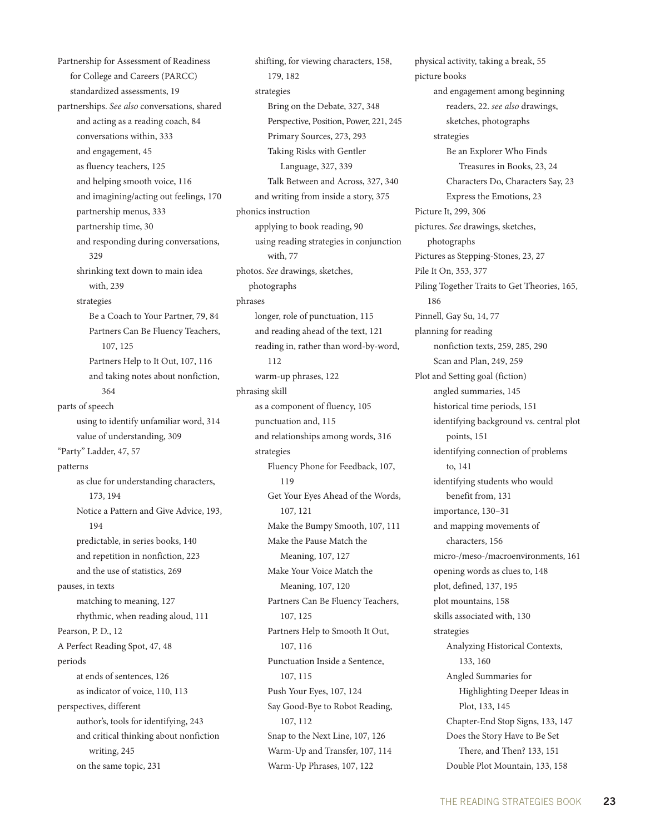Partnership for Assessment of Readiness for College and Careers (PARCC) standardized assessments, 19 partnerships. *See also* conversations, shared and acting as a reading coach, 84 conversations within, 333 and engagement, 45 as fluency teachers, 125 and helping smooth voice, 116 and imagining/acting out feelings, 170 partnership menus, 333 partnership time, 30 and responding during conversations, 329 shrinking text down to main idea with, 239 strategies Be a Coach to Your Partner, 79, 84 Partners Can Be Fluency Teachers, 107, 125 Partners Help to It Out, 107, 116 and taking notes about nonfiction, 364 parts of speech using to identify unfamiliar word, 314 value of understanding, 309 "Party" Ladder, 47, 57 patterns as clue for understanding characters, 173, 194 Notice a Pattern and Give Advice, 193, 194 predictable, in series books, 140 and repetition in nonfiction, 223 and the use of statistics, 269 pauses, in texts matching to meaning, 127 rhythmic, when reading aloud, 111 Pearson, P. D., 12 A Perfect Reading Spot, 47, 48 periods at ends of sentences, 126 as indicator of voice, 110, 113 perspectives, different author's, tools for identifying, 243 and critical thinking about nonfiction writing, 245 on the same topic, 231

shifting, for viewing characters, 158, 179, 182 strategies Bring on the Debate, 327, 348 Perspective, Position, Power, 221, 245 Primary Sources, 273, 293 Taking Risks with Gentler Language, 327, 339 Talk Between and Across, 327, 340 and writing from inside a story, 375 phonics instruction applying to book reading, 90 using reading strategies in conjunction with, 77 photos. *See* drawings, sketches, photographs phrases longer, role of punctuation, 115 and reading ahead of the text, 121 reading in, rather than word-by-word, 112 warm-up phrases, 122 phrasing skill as a component of fluency, 105 punctuation and, 115 and relationships among words, 316 strategies Fluency Phone for Feedback, 107, 119 Get Your Eyes Ahead of the Words, 107, 121 Make the Bumpy Smooth, 107, 111 Make the Pause Match the Meaning, 107, 127 Make Your Voice Match the Meaning, 107, 120 Partners Can Be Fluency Teachers, 107, 125 Partners Help to Smooth It Out, 107, 116 Punctuation Inside a Sentence, 107, 115 Push Your Eyes, 107, 124 Say Good-Bye to Robot Reading, 107, 112 Snap to the Next Line, 107, 126 Warm-Up and Transfer, 107, 114 Warm-Up Phrases, 107, 122

physical activity, taking a break, 55 picture books and engagement among beginning readers, 22. *see also* drawings, sketches, photographs strategies Be an Explorer Who Finds Treasures in Books, 23, 24 Characters Do, Characters Say, 23 Express the Emotions, 23 Picture It, 299, 306 pictures. *See* drawings, sketches, photographs Pictures as Stepping-Stones, 23, 27 Pile It On, 353, 377 Piling Together Traits to Get Theories, 165, 186 Pinnell, Gay Su, 14, 77 planning for reading nonfiction texts, 259, 285, 290 Scan and Plan, 249, 259 Plot and Setting goal (fiction) angled summaries, 145 historical time periods, 151 identifying background vs. central plot points, 151 identifying connection of problems to, 141 identifying students who would benefit from, 131 importance, 130–31 and mapping movements of characters, 156 micro-/meso-/macroenvironments, 161 opening words as clues to, 148 plot, defined, 137, 195 plot mountains, 158 skills associated with, 130 strategies Analyzing Historical Contexts, 133, 160 Angled Summaries for Highlighting Deeper Ideas in Plot, 133, 145 Chapter-End Stop Signs, 133, 147 Does the Story Have to Be Set There, and Then? 133, 151 Double Plot Mountain, 133, 158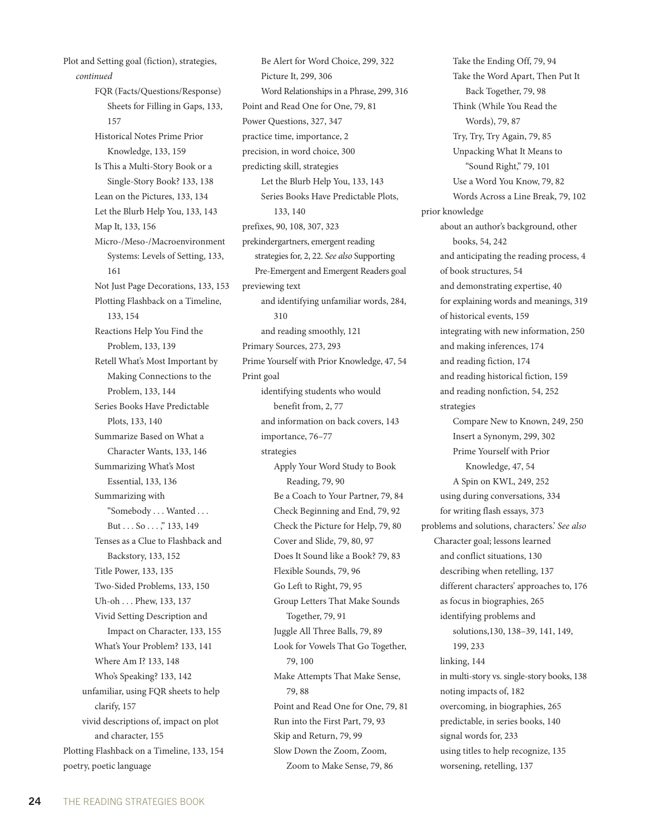Plot and Setting goal (fiction), strategies, *continued* FQR (Facts/Questions/Response) Sheets for Filling in Gaps, 133, 157 Historical Notes Prime Prior Knowledge, 133, 159 Is This a Multi-Story Book or a Single-Story Book? 133, 138 Lean on the Pictures, 133, 134 Let the Blurb Help You, 133, 143 Map It, 133, 156 Micro-/Meso-/Macroenvironment Systems: Levels of Setting, 133, 161 Not Just Page Decorations, 133, 153 Plotting Flashback on a Timeline, 133, 154 Reactions Help You Find the Problem, 133, 139 Retell What's Most Important by Making Connections to the Problem, 133, 144 Series Books Have Predictable Plots, 133, 140 Summarize Based on What a Character Wants, 133, 146 Summarizing What's Most Essential, 133, 136 Summarizing with "Somebody . . . Wanted . . . But . . . So . . . ," 133, 149 Tenses as a Clue to Flashback and Backstory, 133, 152 Title Power, 133, 135 Two-Sided Problems, 133, 150 Uh-oh . . . Phew, 133, 137 Vivid Setting Description and Impact on Character, 133, 155 What's Your Problem? 133, 141 Where Am I? 133, 148 Who's Speaking? 133, 142 unfamiliar, using FQR sheets to help clarify, 157 vivid descriptions of, impact on plot and character, 155 Plotting Flashback on a Timeline, 133, 154 poetry, poetic language

Be Alert for Word Choice, 299, 322 Picture It, 299, 306 Word Relationships in a Phrase, 299, 316 Point and Read One for One, 79, 81 Power Questions, 327, 347 practice time, importance, 2 precision, in word choice, 300 predicting skill, strategies Let the Blurb Help You, 133, 143 Series Books Have Predictable Plots, 133, 140 prefixes, 90, 108, 307, 323 prekindergartners, emergent reading strategies for, 2, 22. *See also* Supporting Pre-Emergent and Emergent Readers goal previewing text and identifying unfamiliar words, 284, 310 and reading smoothly, 121 Primary Sources, 273, 293 Prime Yourself with Prior Knowledge, 47, 54 Print goal identifying students who would benefit from, 2, 77 and information on back covers, 143 importance, 76–77 strategies Apply Your Word Study to Book Reading, 79, 90 Be a Coach to Your Partner, 79, 84 Check Beginning and End, 79, 92 Check the Picture for Help, 79, 80 Cover and Slide, 79, 80, 97 Does It Sound like a Book? 79, 83 Flexible Sounds, 79, 96 Go Left to Right, 79, 95 Group Letters That Make Sounds Together, 79, 91 Juggle All Three Balls, 79, 89 Look for Vowels That Go Together, 79, 100 Make Attempts That Make Sense, 79, 88 Point and Read One for One, 79, 81 Run into the First Part, 79, 93 Skip and Return, 79, 99 Slow Down the Zoom, Zoom, Zoom to Make Sense, 79, 86

Take the Ending Off, 79, 94 Take the Word Apart, Then Put It Back Together, 79, 98 Think (While You Read the Words), 79, 87 Try, Try, Try Again, 79, 85 Unpacking What It Means to "Sound Right," 79, 101 Use a Word You Know, 79, 82 Words Across a Line Break, 79, 102 prior knowledge about an author's background, other books, 54, 242 and anticipating the reading process, 4 of book structures, 54 and demonstrating expertise, 40 for explaining words and meanings, 319 of historical events, 159 integrating with new information, 250 and making inferences, 174 and reading fiction, 174 and reading historical fiction, 159 and reading nonfiction, 54, 252 strategies Compare New to Known, 249, 250 Insert a Synonym, 299, 302 Prime Yourself with Prior Knowledge, 47, 54 A Spin on KWL, 249, 252 using during conversations, 334 for writing flash essays, 373 problems and solutions, characters.' *See also* Character goal; lessons learned and conflict situations, 130 describing when retelling, 137 different characters' approaches to, 176 as focus in biographies, 265 identifying problems and solutions,130, 138–39, 141, 149, 199, 233 linking, 144 in multi-story vs. single-story books, 138 noting impacts of, 182 overcoming, in biographies, 265 predictable, in series books, 140 signal words for, 233 using titles to help recognize, 135 worsening, retelling, 137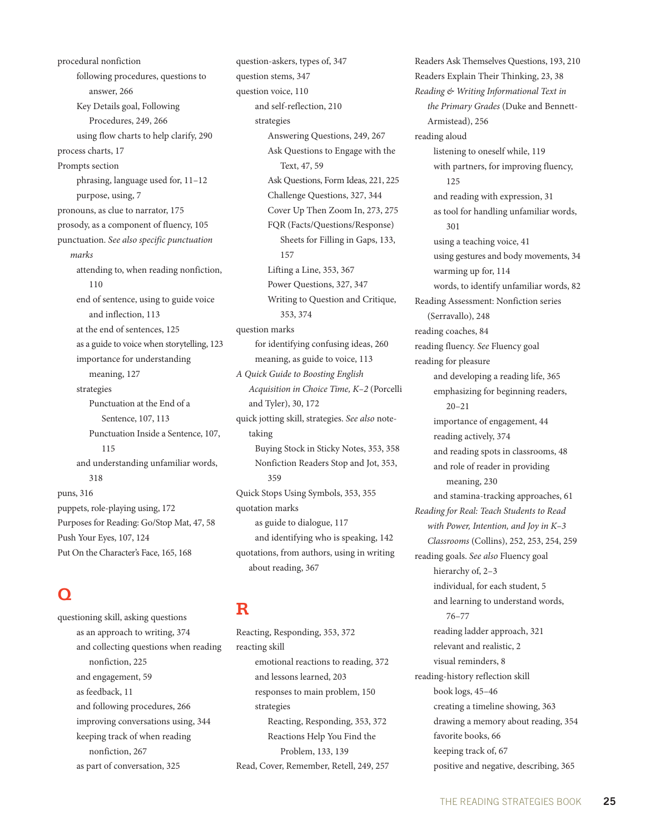procedural nonfiction following procedures, questions to answer, 266 Key Details goal, Following Procedures, 249, 266 using flow charts to help clarify, 290 process charts, 17 Prompts section phrasing, language used for, 11–12 purpose, using, 7 pronouns, as clue to narrator, 175 prosody, as a component of fluency, 105 punctuation. *See also specific punctuation marks* attending to, when reading nonfiction, 110 end of sentence, using to guide voice and inflection, 113 at the end of sentences, 125 as a guide to voice when storytelling, 123 importance for understanding meaning, 127 strategies Punctuation at the End of a Sentence, 107, 113 Punctuation Inside a Sentence, 107, 115 and understanding unfamiliar words, 318 puns, 316 puppets, role-playing using, 172 Purposes for Reading: Go/Stop Mat, 47, 58 Push Your Eyes, 107, 124 Put On the Character's Face, 165, 168

# **Q**

questioning skill, asking questions as an approach to writing, 374 and collecting questions when reading nonfiction, 225 and engagement, 59 as feedback, 11 and following procedures, 266 improving conversations using, 344 keeping track of when reading nonfiction, 267 as part of conversation, 325

question-askers, types of, 347 question stems, 347 question voice, 110 and self-reflection, 210 strategies Answering Questions, 249, 267 Ask Questions to Engage with the Text, 47, 59 Ask Questions, Form Ideas, 221, 225 Challenge Questions, 327, 344 Cover Up Then Zoom In, 273, 275 FQR (Facts/Questions/Response) Sheets for Filling in Gaps, 133, 157 Lifting a Line, 353, 367 Power Questions, 327, 347 Writing to Question and Critique, 353, 374 question marks for identifying confusing ideas, 260 meaning, as guide to voice, 113 *A Quick Guide to Boosting English Acquisition in Choice Time, K–2* (Porcelli and Tyler), 30, 172 quick jotting skill, strategies. *See also* notetaking Buying Stock in Sticky Notes, 353, 358 Nonfiction Readers Stop and Jot, 353, 359 Quick Stops Using Symbols, 353, 355 quotation marks as guide to dialogue, 117 and identifying who is speaking, 142 quotations, from authors, using in writing about reading, 367

#### **R**

Reacting, Responding, 353, 372 reacting skill emotional reactions to reading, 372 and lessons learned, 203 responses to main problem, 150 strategies Reacting, Responding, 353, 372 Reactions Help You Find the Problem, 133, 139 Read, Cover, Remember, Retell, 249, 257 Readers Ask Themselves Questions, 193, 210 Readers Explain Their Thinking, 23, 38 *Reading & Writing Informational Text in the Primary Grades* (Duke and Bennett-Armistead), 256 reading aloud listening to oneself while, 119 with partners, for improving fluency, 125 and reading with expression, 31 as tool for handling unfamiliar words, 301 using a teaching voice, 41 using gestures and body movements, 34 warming up for, 114 words, to identify unfamiliar words, 82 Reading Assessment: Nonfiction series (Serravallo), 248 reading coaches, 84 reading fluency. *See* Fluency goal reading for pleasure and developing a reading life, 365 emphasizing for beginning readers, 20–21 importance of engagement, 44 reading actively, 374 and reading spots in classrooms, 48 and role of reader in providing meaning, 230 and stamina-tracking approaches, 61 *Reading for Real: Teach Students to Read with Power, Intention, and Joy in K–3 Classrooms* (Collins), 252, 253, 254, 259 reading goals. *See also* Fluency goal hierarchy of, 2-3 individual, for each student, 5 and learning to understand words, 76–77 reading ladder approach, 321 relevant and realistic, 2 visual reminders, 8 reading-history reflection skill book logs, 45–46 creating a timeline showing, 363 drawing a memory about reading, 354 favorite books, 66 keeping track of, 67 positive and negative, describing, 365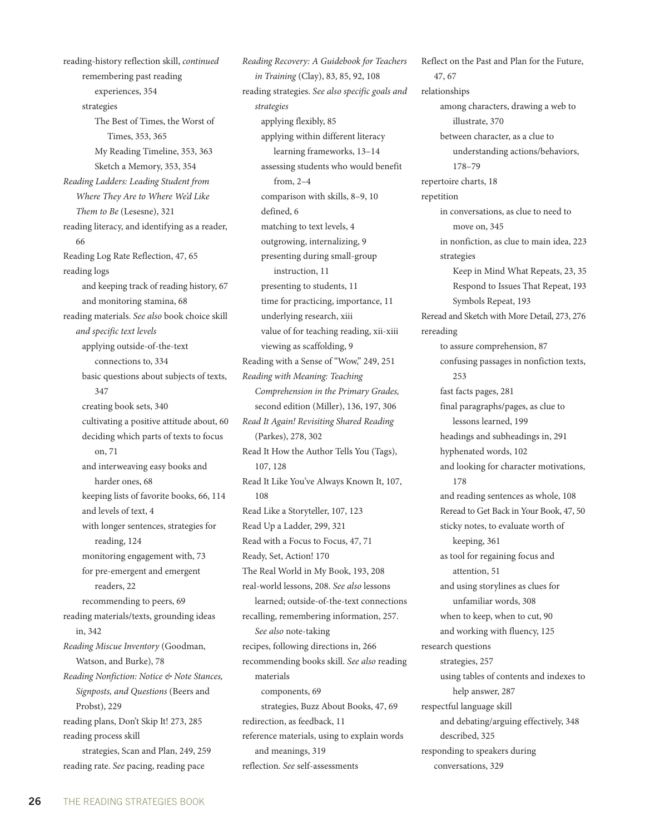reading-history reflection skill, *continued* remembering past reading experiences, 354 strategies The Best of Times, the Worst of Times, 353, 365 My Reading Timeline, 353, 363 Sketch a Memory, 353, 354 *Reading Ladders: Leading Student from Where They Are to Where We'd Like Them to Be* (Lesesne), 321 reading literacy, and identifying as a reader, 66 Reading Log Rate Reflection, 47, 65 reading logs and keeping track of reading history, 67 and monitoring stamina, 68 reading materials. *See also* book choice skill *and specific text levels* applying outside-of-the-text connections to, 334 basic questions about subjects of texts, 347 creating book sets, 340 cultivating a positive attitude about, 60 deciding which parts of texts to focus on, 71 and interweaving easy books and harder ones, 68 keeping lists of favorite books, 66, 114 and levels of text, 4 with longer sentences, strategies for reading, 124 monitoring engagement with, 73 for pre-emergent and emergent readers, 22 recommending to peers, 69 reading materials/texts, grounding ideas in, 342 *Reading Miscue Inventory* (Goodman, Watson, and Burke), 78 *Reading Nonfiction: Notice & Note Stances, Signposts, and Questions* (Beers and Probst), 229 reading plans, Don't Skip It! 273, 285 reading process skill strategies, Scan and Plan, 249, 259 reading rate. *See* pacing, reading pace

*Reading Recovery: A Guidebook for Teachers in Training* (Clay), 83, 85, 92, 108 reading strategies. *See also specific goals and strategies* applying flexibly, 85 applying within different literacy learning frameworks, 13–14 assessing students who would benefit from, 2–4 comparison with skills, 8–9, 10 defined, 6 matching to text levels, 4 outgrowing, internalizing, 9 presenting during small-group instruction, 11 presenting to students, 11 time for practicing, importance, 11 underlying research, xiii value of for teaching reading, xii-xiii viewing as scaffolding, 9 Reading with a Sense of "Wow," 249, 251 *Reading with Meaning: Teaching Comprehension in the Primary Grades,*  second edition (Miller), 136, 197, 306 *Read It Again! Revisiting Shared Reading*  (Parkes), 278, 302 Read It How the Author Tells You (Tags), 107, 128 Read It Like You've Always Known It, 107, 108 Read Like a Storyteller, 107, 123 Read Up a Ladder, 299, 321 Read with a Focus to Focus, 47, 71 Ready, Set, Action! 170 The Real World in My Book, 193, 208 real-world lessons, 208. *See also* lessons learned; outside-of-the-text connections recalling, remembering information, 257. *See also* note-taking recipes, following directions in, 266 recommending books skill. *See also* reading materials components, 69 strategies, Buzz About Books, 47, 69 redirection, as feedback, 11 reference materials, using to explain words and meanings, 319 reflection. *See* self-assessments

Reflect on the Past and Plan for the Future, 47, 67 relationships among characters, drawing a web to illustrate, 370 between character, as a clue to understanding actions/behaviors, 178–79 repertoire charts, 18 repetition in conversations, as clue to need to move on, 345 in nonfiction, as clue to main idea, 223 strategies Keep in Mind What Repeats, 23, 35 Respond to Issues That Repeat, 193 Symbols Repeat, 193 Reread and Sketch with More Detail, 273, 276 rereading to assure comprehension, 87 confusing passages in nonfiction texts, 253 fast facts pages, 281 final paragraphs/pages, as clue to lessons learned, 199 headings and subheadings in, 291 hyphenated words, 102 and looking for character motivations, 178 and reading sentences as whole, 108 Reread to Get Back in Your Book, 47, 50 sticky notes, to evaluate worth of keeping, 361 as tool for regaining focus and attention, 51 and using storylines as clues for unfamiliar words, 308 when to keep, when to cut, 90 and working with fluency, 125 research questions strategies, 257 using tables of contents and indexes to help answer, 287 respectful language skill and debating/arguing effectively, 348 described, 325 responding to speakers during conversations, 329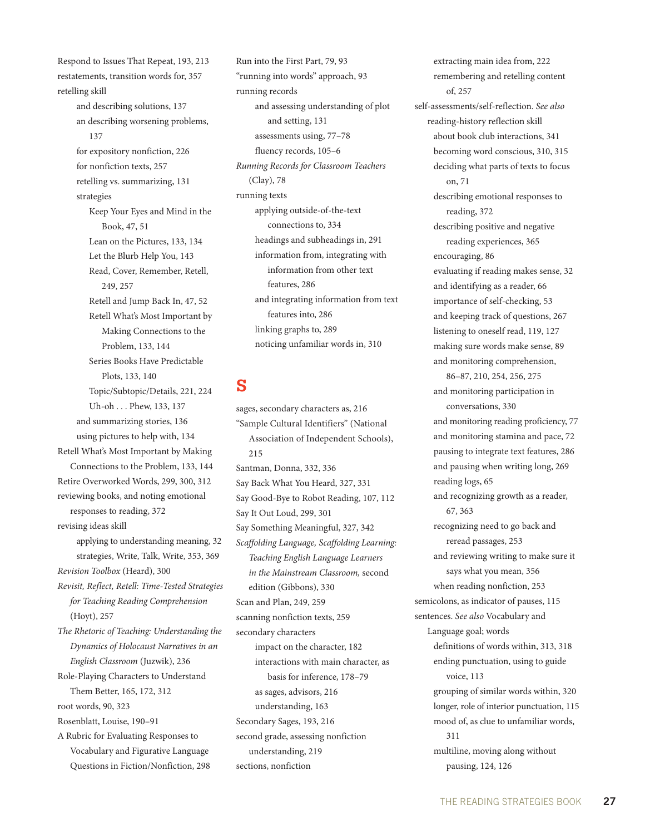Respond to Issues That Repeat, 193, 213 restatements, transition words for, 357 retelling skill and describing solutions, 137 an describing worsening problems, 137 for expository nonfiction, 226 for nonfiction texts, 257 retelling vs. summarizing, 131 strategies Keep Your Eyes and Mind in the Book, 47, 51 Lean on the Pictures, 133, 134 Let the Blurb Help You, 143 Read, Cover, Remember, Retell, 249, 257 Retell and Jump Back In, 47, 52 Retell What's Most Important by Making Connections to the Problem, 133, 144 Series Books Have Predictable Plots, 133, 140 Topic/Subtopic/Details, 221, 224 Uh-oh . . . Phew, 133, 137 and summarizing stories, 136 using pictures to help with, 134 Retell What's Most Important by Making Connections to the Problem, 133, 144 Retire Overworked Words, 299, 300, 312 reviewing books, and noting emotional responses to reading, 372 revising ideas skill applying to understanding meaning, 32 strategies, Write, Talk, Write, 353, 369 *Revision Toolbox* (Heard), 300 *Revisit, Reflect, Retell: Time-Tested Strategies for Teaching Reading Comprehension*  (Hoyt), 257 *The Rhetoric of Teaching: Understanding the Dynamics of Holocaust Narratives in an English Classroom* (Juzwik), 236 Role-Playing Characters to Understand Them Better, 165, 172, 312 root words, 90, 323 Rosenblatt, Louise, 190–91 A Rubric for Evaluating Responses to Vocabulary and Figurative Language Questions in Fiction/Nonfiction, 298

Run into the First Part, 79, 93 "running into words" approach, 93 running records and assessing understanding of plot and setting, 131 assessments using, 77–78 fluency records, 105–6 *Running Records for Classroom Teachers* (Clay), 78 running texts applying outside-of-the-text connections to, 334 headings and subheadings in, 291 information from, integrating with information from other text features, 286 and integrating information from text features into, 286 linking graphs to, 289 noticing unfamiliar words in, 310

#### **S**

sages, secondary characters as, 216 "Sample Cultural Identifiers" (National Association of Independent Schools), 215 Santman, Donna, 332, 336 Say Back What You Heard, 327, 331 Say Good-Bye to Robot Reading, 107, 112 Say It Out Loud, 299, 301 Say Something Meaningful, 327, 342 *Scaffolding Language, Scaffolding Learning: Teaching English Language Learners in the Mainstream Classroom,* second edition (Gibbons), 330 Scan and Plan, 249, 259 scanning nonfiction texts, 259 secondary characters impact on the character, 182 interactions with main character, as basis for inference, 178–79 as sages, advisors, 216 understanding, 163 Secondary Sages, 193, 216 second grade, assessing nonfiction understanding, 219 sections, nonfiction

extracting main idea from, 222 remembering and retelling content of, 257 self-assessments/self-reflection. *See also* reading-history reflection skill about book club interactions, 341 becoming word conscious, 310, 315 deciding what parts of texts to focus on, 71 describing emotional responses to reading, 372 describing positive and negative reading experiences, 365 encouraging, 86 evaluating if reading makes sense, 32 and identifying as a reader, 66 importance of self-checking, 53 and keeping track of questions, 267 listening to oneself read, 119, 127 making sure words make sense, 89 and monitoring comprehension, 86–87, 210, 254, 256, 275 and monitoring participation in conversations, 330 and monitoring reading proficiency, 77 and monitoring stamina and pace, 72 pausing to integrate text features, 286 and pausing when writing long, 269 reading logs, 65 and recognizing growth as a reader, 67, 363 recognizing need to go back and reread passages, 253 and reviewing writing to make sure it says what you mean, 356 when reading nonfiction, 253 semicolons, as indicator of pauses, 115 sentences. *See also* Vocabulary and Language goal; words definitions of words within, 313, 318 ending punctuation, using to guide voice, 113 grouping of similar words within, 320 longer, role of interior punctuation, 115 mood of, as clue to unfamiliar words, 311 multiline, moving along without pausing, 124, 126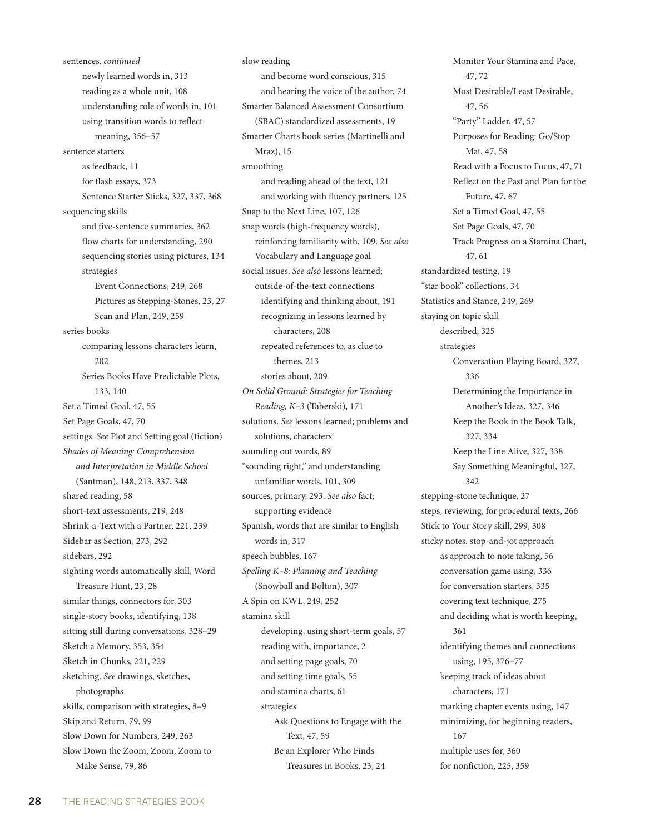sentences. *continued* newly learned words in, 313 reading as a whole unit, 108 understanding role of words in, 101 using transition words to reflect meaning, 356–57 sentence starters as feedback, 11 for flash essays, 373 Sentence Starter Sticks, 327, 337, 368 sequencing skills and five-sentence summaries, 362 flow charts for understanding, 290 sequencing stories using pictures, 134 strategies Event Connections, 249, 268 Pictures as Stepping-Stones, 23, 27 Scan and Plan, 249, 259 series books comparing lessons characters learn, 202 Series Books Have Predictable Plots, 133, 140 Set a Timed Goal, 47, 55 Set Page Goals, 47, 70 settings. *See* Plot and Setting goal (fiction) *Shades of Meaning: Comprehension and Interpretation in Middle School*  (Santman), 148, 213, 337, 348 shared reading, 58 short-text assessments, 219, 248 Shrink-a-Text with a Partner, 221, 239 Sidebar as Section, 273, 292 sidebars, 292 sighting words automatically skill, Word Treasure Hunt, 23, 28 similar things, connectors for, 303 single-story books, identifying, 138 sitting still during conversations, 328–29 Sketch a Memory, 353, 354 Sketch in Chunks, 221, 229 sketching. *See* drawings, sketches, photographs skills, comparison with strategies, 8–9 Skip and Return, 79, 99 Slow Down for Numbers, 249, 263 Slow Down the Zoom, Zoom, Zoom to Make Sense, 79, 86

slow reading and become word conscious, 315 and hearing the voice of the author, 74 Smarter Balanced Assessment Consortium (SBAC) standardized assessments, 19 Smarter Charts book series (Martinelli and Mraz), 15 smoothing and reading ahead of the text, 121 and working with fluency partners, 125 Snap to the Next Line, 107, 126 snap words (high-frequency words), reinforcing familiarity with, 109. *See also* Vocabulary and Language goal social issues. *See also* lessons learned; outside-of-the-text connections identifying and thinking about, 191 recognizing in lessons learned by characters, 208 repeated references to, as clue to themes, 213 stories about, 209 *On Solid Ground: Strategies for Teaching Reading, K–3* (Taberski), 171 solutions. *See* lessons learned; problems and solutions, characters' sounding out words, 89 "sounding right," and understanding unfamiliar words, 101, 309 sources, primary, 293. *See also* fact; supporting evidence Spanish, words that are similar to English words in, 317 speech bubbles, 167 *Spelling K–8: Planning and Teaching* (Snowball and Bolton), 307 A Spin on KWL, 249, 252 stamina skill developing, using short-term goals, 57 reading with, importance, 2 and setting page goals, 70 and setting time goals, 55 and stamina charts, 61 strategies Ask Questions to Engage with the Text, 47, 59 Be an Explorer Who Finds Treasures in Books, 23, 24

Monitor Your Stamina and Pace, 47, 72 Most Desirable/Least Desirable, 47, 56 "Party" Ladder, 47, 57 Purposes for Reading: Go/Stop Mat, 47, 58 Read with a Focus to Focus, 47, 71 Reflect on the Past and Plan for the Future, 47, 67 Set a Timed Goal, 47, 55 Set Page Goals, 47, 70 Track Progress on a Stamina Chart, 47, 61 standardized testing, 19 "star book" collections, 34 Statistics and Stance, 249, 269 staying on topic skill described, 325 strategies Conversation Playing Board, 327, 336 Determining the Importance in Another's Ideas, 327, 346 Keep the Book in the Book Talk, 327, 334 Keep the Line Alive, 327, 338 Say Something Meaningful, 327, 342 stepping-stone technique, 27 steps, reviewing, for procedural texts, 266 Stick to Your Story skill, 299, 308 sticky notes. stop-and-jot approach as approach to note taking, 56 conversation game using, 336 for conversation starters, 335 covering text technique, 275 and deciding what is worth keeping, 361 identifying themes and connections using, 195, 376–77 keeping track of ideas about characters, 171 marking chapter events using, 147 minimizing, for beginning readers, 167 multiple uses for, 360 for nonfiction, 225, 359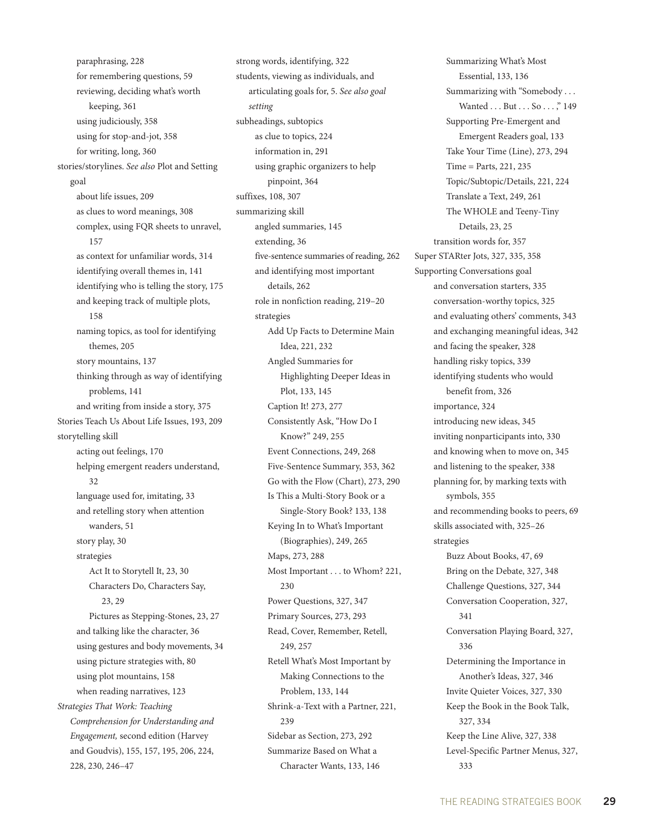paraphrasing, 228 for remembering questions, 59 reviewing, deciding what's worth keeping, 361 using judiciously, 358 using for stop-and-jot, 358 for writing, long, 360 stories/storylines. *See also* Plot and Setting goal about life issues, 209 as clues to word meanings, 308 complex, using FQR sheets to unravel, 157 as context for unfamiliar words, 314 identifying overall themes in, 141 identifying who is telling the story, 175 and keeping track of multiple plots, 158 naming topics, as tool for identifying themes, 205 story mountains, 137 thinking through as way of identifying problems, 141 and writing from inside a story, 375 Stories Teach Us About Life Issues, 193, 209 storytelling skill acting out feelings, 170 helping emergent readers understand, 32 language used for, imitating, 33 and retelling story when attention wanders, 51 story play, 30 strategies Act It to Storytell It, 23, 30 Characters Do, Characters Say, 23, 29 Pictures as Stepping-Stones, 23, 27 and talking like the character, 36 using gestures and body movements, 34 using picture strategies with, 80 using plot mountains, 158 when reading narratives, 123 *Strategies That Work: Teaching Comprehension for Understanding and Engagement,* second edition (Harvey and Goudvis), 155, 157, 195, 206, 224, 228, 230, 246–47

strong words, identifying, 322 students, viewing as individuals, and articulating goals for, 5. *See also goal setting* subheadings, subtopics as clue to topics, 224 information in, 291 using graphic organizers to help pinpoint, 364 suffixes, 108, 307 summarizing skill angled summaries, 145 extending, 36 five-sentence summaries of reading, 262 and identifying most important details, 262 role in nonfiction reading, 219–20 strategies Add Up Facts to Determine Main Idea, 221, 232 Angled Summaries for Highlighting Deeper Ideas in Plot, 133, 145 Caption It! 273, 277 Consistently Ask, "How Do I Know?" 249, 255 Event Connections, 249, 268 Five-Sentence Summary, 353, 362 Go with the Flow (Chart), 273, 290 Is This a Multi-Story Book or a Single-Story Book? 133, 138 Keying In to What's Important (Biographies), 249, 265 Maps, 273, 288 Most Important . . . to Whom? 221, 230 Power Questions, 327, 347 Primary Sources, 273, 293 Read, Cover, Remember, Retell, 249, 257 Retell What's Most Important by Making Connections to the Problem, 133, 144 Shrink-a-Text with a Partner, 221, 239 Sidebar as Section, 273, 292 Summarize Based on What a Character Wants, 133, 146

Summarizing What's Most Essential, 133, 136 Summarizing with "Somebody . . . Wanted . . . But . . . So . . . ," 149 Supporting Pre-Emergent and Emergent Readers goal, 133 Take Your Time (Line), 273, 294 Time = Parts, 221, 235 Topic/Subtopic/Details, 221, 224 Translate a Text, 249, 261 The WHOLE and Teeny-Tiny Details, 23, 25 transition words for, 357 Super STARter Jots, 327, 335, 358 Supporting Conversations goal and conversation starters, 335 conversation-worthy topics, 325 and evaluating others' comments, 343 and exchanging meaningful ideas, 342 and facing the speaker, 328 handling risky topics, 339 identifying students who would benefit from, 326 importance, 324 introducing new ideas, 345 inviting nonparticipants into, 330 and knowing when to move on, 345 and listening to the speaker, 338 planning for, by marking texts with symbols, 355 and recommending books to peers, 69 skills associated with, 325–26 strategies Buzz About Books, 47, 69 Bring on the Debate, 327, 348 Challenge Questions, 327, 344 Conversation Cooperation, 327, 341 Conversation Playing Board, 327, 336 Determining the Importance in Another's Ideas, 327, 346 Invite Quieter Voices, 327, 330 Keep the Book in the Book Talk, 327, 334 Keep the Line Alive, 327, 338 Level-Specific Partner Menus, 327, 333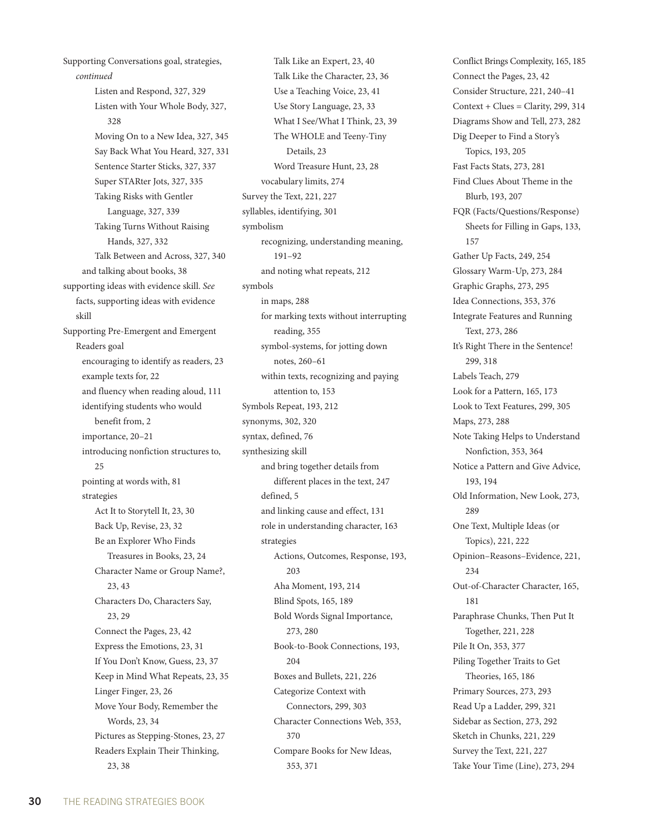Supporting Conversations goal, strategies, *continued* Listen and Respond, 327, 329 Listen with Your Whole Body, 327, 328 Moving On to a New Idea, 327, 345 Say Back What You Heard, 327, 331 Sentence Starter Sticks, 327, 337 Super STARter Jots, 327, 335 Taking Risks with Gentler Language, 327, 339 Taking Turns Without Raising Hands, 327, 332 Talk Between and Across, 327, 340 and talking about books, 38 supporting ideas with evidence skill. *See*  facts, supporting ideas with evidence skill Supporting Pre-Emergent and Emergent Readers goal encouraging to identify as readers, 23 example texts for, 22 and fluency when reading aloud, 111 identifying students who would benefit from, 2 importance, 20–21 introducing nonfiction structures to, 25 pointing at words with, 81 strategies Act It to Storytell It, 23, 30 Back Up, Revise, 23, 32 Be an Explorer Who Finds Treasures in Books, 23, 24 Character Name or Group Name?, 23, 43 Characters Do, Characters Say, 23, 29 Connect the Pages, 23, 42 Express the Emotions, 23, 31 If You Don't Know, Guess, 23, 37 Keep in Mind What Repeats, 23, 35 Linger Finger, 23, 26 Move Your Body, Remember the Words, 23, 34 Pictures as Stepping-Stones, 23, 27 Readers Explain Their Thinking, 23, 38

Talk Like an Expert, 23, 40 Talk Like the Character, 23, 36 Use a Teaching Voice, 23, 41 Use Story Language, 23, 33 What I See/What I Think, 23, 39 The WHOLE and Teeny-Tiny Details, 23 Word Treasure Hunt, 23, 28 vocabulary limits, 274 Survey the Text, 221, 227 syllables, identifying, 301 symbolism recognizing, understanding meaning, 191–92 and noting what repeats, 212 symbols in maps, 288 for marking texts without interrupting reading, 355 symbol-systems, for jotting down notes, 260–61 within texts, recognizing and paying attention to, 153 Symbols Repeat, 193, 212 synonyms, 302, 320 syntax, defined, 76 synthesizing skill and bring together details from different places in the text, 247 defined, 5 and linking cause and effect, 131 role in understanding character, 163 strategies Actions, Outcomes, Response, 193, 203 Aha Moment, 193, 214 Blind Spots, 165, 189 Bold Words Signal Importance, 273, 280 Book-to-Book Connections, 193, 204 Boxes and Bullets, 221, 226 Categorize Context with Connectors, 299, 303 Character Connections Web, 353, 370 Compare Books for New Ideas, 353, 371

Conflict Brings Complexity, 165, 185 Connect the Pages, 23, 42 Consider Structure, 221, 240–41  $Context + Clues = Clarity, 299, 314$ Diagrams Show and Tell, 273, 282 Dig Deeper to Find a Story's Topics, 193, 205 Fast Facts Stats, 273, 281 Find Clues About Theme in the Blurb, 193, 207 FQR (Facts/Questions/Response) Sheets for Filling in Gaps, 133, 157 Gather Up Facts, 249, 254 Glossary Warm-Up, 273, 284 Graphic Graphs, 273, 295 Idea Connections, 353, 376 Integrate Features and Running Text, 273, 286 It's Right There in the Sentence! 299, 318 Labels Teach, 279 Look for a Pattern, 165, 173 Look to Text Features, 299, 305 Maps, 273, 288 Note Taking Helps to Understand Nonfiction, 353, 364 Notice a Pattern and Give Advice, 193, 194 Old Information, New Look, 273, 289 One Text, Multiple Ideas (or Topics), 221, 222 Opinion–Reasons–Evidence, 221, 234 Out-of-Character Character, 165, 181 Paraphrase Chunks, Then Put It Together, 221, 228 Pile It On, 353, 377 Piling Together Traits to Get Theories, 165, 186 Primary Sources, 273, 293 Read Up a Ladder, 299, 321 Sidebar as Section, 273, 292 Sketch in Chunks, 221, 229 Survey the Text, 221, 227 Take Your Time (Line), 273, 294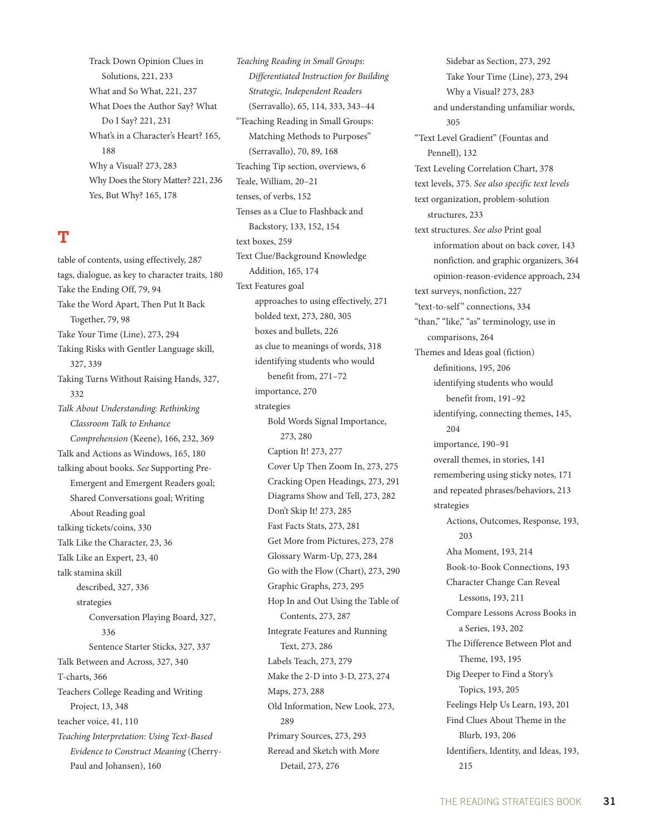Track Down Opinion Clues in Solutions, 221, 233 What and So What, 221, 237 What Does the Author Say? What Do I Say? 221, 231 What's in a Character's Heart? 165, 188 Why a Visual? 273, 283 Why Does the Story Matter? 221, 236 Yes, But Why? 165, 178

#### **T**

table of contents, using effectively, 287 tags, dialogue, as key to character traits, 180 Take the Ending Off, 79, 94 Take the Word Apart, Then Put It Back Together, 79, 98 Take Your Time (Line), 273, 294 Taking Risks with Gentler Language skill, 327, 339 Taking Turns Without Raising Hands, 327, 332 *Talk About Understanding: Rethinking Classroom Talk to Enhance Comprehension* (Keene), 166, 232, 369 Talk and Actions as Windows, 165, 180 talking about books. *See* Supporting Pre-Emergent and Emergent Readers goal; Shared Conversations goal; Writing About Reading goal talking tickets/coins, 330 Talk Like the Character, 23, 36 Talk Like an Expert, 23, 40 talk stamina skill described, 327, 336 strategies Conversation Playing Board, 327, 336 Sentence Starter Sticks, 327, 337 Talk Between and Across, 327, 340 T-charts, 366 Teachers College Reading and Writing Project, 13, 348 teacher voice, 41, 110 *Teaching Interpretation: Using Text-Based Evidence to Construct Meaning* (Cherry-Paul and Johansen), 160

*Teaching Reading in Small Groups: Differentiated Instruction for Building Strategic, Independent Readers*  (Serravallo), 65, 114, 333, 343–44 "Teaching Reading in Small Groups: Matching Methods to Purposes" (Serravallo), 70, 89, 168 Teaching Tip section, overviews, 6 Teale, William, 20–21 tenses, of verbs, 152 Tenses as a Clue to Flashback and Backstory, 133, 152, 154 text boxes, 259 Text Clue/Background Knowledge Addition, 165, 174 Text Features goal approaches to using effectively, 271 bolded text, 273, 280, 305 boxes and bullets, 226 as clue to meanings of words, 318 identifying students who would benefit from, 271–72 importance, 270 strategies Bold Words Signal Importance, 273, 280 Caption It! 273, 277 Cover Up Then Zoom In, 273, 275 Cracking Open Headings, 273, 291 Diagrams Show and Tell, 273, 282 Don't Skip It! 273, 285 Fast Facts Stats, 273, 281 Get More from Pictures, 273, 278 Glossary Warm-Up, 273, 284 Go with the Flow (Chart), 273, 290 Graphic Graphs, 273, 295 Hop In and Out Using the Table of Contents, 273, 287 Integrate Features and Running Text, 273, 286 Labels Teach, 273, 279 Make the 2-D into 3-D, 273, 274 Maps, 273, 288 Old Information, New Look, 273, 289 Primary Sources, 273, 293 Reread and Sketch with More Detail, 273, 276

Sidebar as Section, 273, 292 Take Your Time (Line), 273, 294 Why a Visual? 273, 283 and understanding unfamiliar words, 305 "Text Level Gradient" (Fountas and Pennell), 132 Text Leveling Correlation Chart, 378 text levels, 375. *See also specific text levels* text organization, problem-solution structures, 233 text structures. *See also* Print goal information about on back cover, 143 nonfiction. and graphic organizers, 364 opinion-reason-evidence approach, 234 text surveys, nonfiction, 227 "text-to-self" connections, 334 "than," "like," "as" terminology, use in comparisons, 264 Themes and Ideas goal (fiction) definitions, 195, 206 identifying students who would benefit from, 191–92 identifying, connecting themes, 145, 204 importance, 190–91 overall themes, in stories, 141 remembering using sticky notes, 171 and repeated phrases/behaviors, 213 strategies Actions, Outcomes, Response, 193, 203 Aha Moment, 193, 214 Book-to-Book Connections, 193 Character Change Can Reveal Lessons, 193, 211 Compare Lessons Across Books in a Series, 193, 202 The Difference Between Plot and Theme, 193, 195 Dig Deeper to Find a Story's Topics, 193, 205 Feelings Help Us Learn, 193, 201 Find Clues About Theme in the Blurb, 193, 206 Identifiers, Identity, and Ideas, 193, 215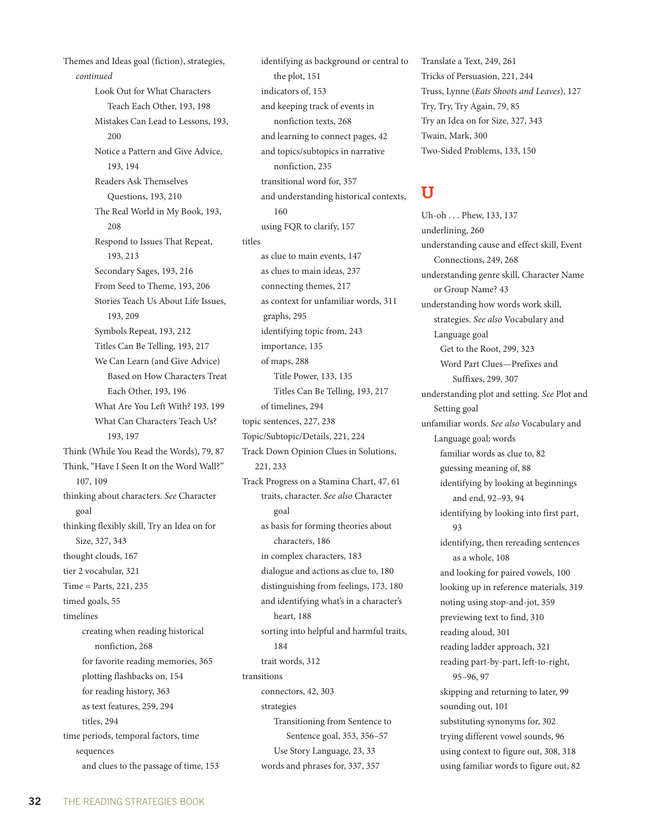Themes and Ideas goal (fiction), strategies, *continued* Look Out for What Characters Teach Each Other, 193, 198 Mistakes Can Lead to Lessons, 193, 200 Notice a Pattern and Give Advice, 193, 194 Readers Ask Themselves Questions, 193, 210 The Real World in My Book, 193, 208 Respond to Issues That Repeat, 193, 213 Secondary Sages, 193, 216 From Seed to Theme, 193, 206 Stories Teach Us About Life Issues, 193, 209 Symbols Repeat, 193, 212 Titles Can Be Telling, 193, 217 We Can Learn (and Give Advice) Based on How Characters Treat Each Other, 193, 196 What Are You Left With? 193, 199 What Can Characters Teach Us? 193, 197 Think (While You Read the Words), 79, 87 Think, "Have I Seen It on the Word Wall?" 107, 109 thinking about characters. *See* Character goal thinking flexibly skill, Try an Idea on for Size, 327, 343 thought clouds, 167 tier 2 vocabular, 321 Time = Parts, 221, 235 timed goals, 55 timelines creating when reading historical nonfiction, 268 for favorite reading memories, 365 plotting flashbacks on, 154 for reading history, 363 as text features, 259, 294 titles, 294 time periods, temporal factors, time sequences and clues to the passage of time, 153

identifying as background or central to the plot, 151 indicators of, 153 and keeping track of events in nonfiction texts, 268 and learning to connect pages, 42 and topics/subtopics in narrative nonfiction, 235 transitional word for, 357 and understanding historical contexts, 160 using FQR to clarify, 157 titles as clue to main events, 147 as clues to main ideas, 237 connecting themes, 217 as context for unfamiliar words, 311 graphs, 295 identifying topic from, 243 importance, 135 of maps, 288 Title Power, 133, 135 Titles Can Be Telling, 193, 217 of timelines, 294 topic sentences, 227, 238 Topic/Subtopic/Details, 221, 224 Track Down Opinion Clues in Solutions, 221, 233 Track Progress on a Stamina Chart, 47, 61 traits, character. *See also* Character goal as basis for forming theories about characters, 186 in complex characters, 183 dialogue and actions as clue to, 180 distinguishing from feelings, 173, 180 and identifying what's in a character's heart, 188 sorting into helpful and harmful traits, 184 trait words, 312 transitions connectors, 42, 303 strategies Transitioning from Sentence to Sentence goal, 353, 356–57 Use Story Language, 23, 33 words and phrases for, 337, 357

Translate a Text, 249, 261 Tricks of Persuasion, 221, 244 Truss, Lynne (*Eats Shoots and Leaves*), 127 Try, Try, Try Again, 79, 85 Try an Idea on for Size, 327, 343 Twain, Mark, 300 Two-Sided Problems, 133, 150

#### **U**

Uh-oh . . . Phew, 133, 137 underlining, 260 understanding cause and effect skill, Event Connections, 249, 268 understanding genre skill, Character Name or Group Name? 43 understanding how words work skill, strategies. *See also* Vocabulary and Language goal Get to the Root, 299, 323 Word Part Clues—Prefixes and Suffixes, 299, 307 understanding plot and setting. *See* Plot and Setting goal unfamiliar words. *See also* Vocabulary and Language goal; words familiar words as clue to, 82 guessing meaning of, 88 identifying by looking at beginnings and end, 92–93, 94 identifying by looking into first part, 93 identifying, then rereading sentences as a whole, 108 and looking for paired vowels, 100 looking up in reference materials, 319 noting using stop-and-jot, 359 previewing text to find, 310 reading aloud, 301 reading ladder approach, 321 reading part-by-part, left-to-right, 95–96, 97 skipping and returning to later, 99 sounding out, 101 substituting synonyms for, 302 trying different vowel sounds, 96 using context to figure out, 308, 318 using familiar words to figure out, 82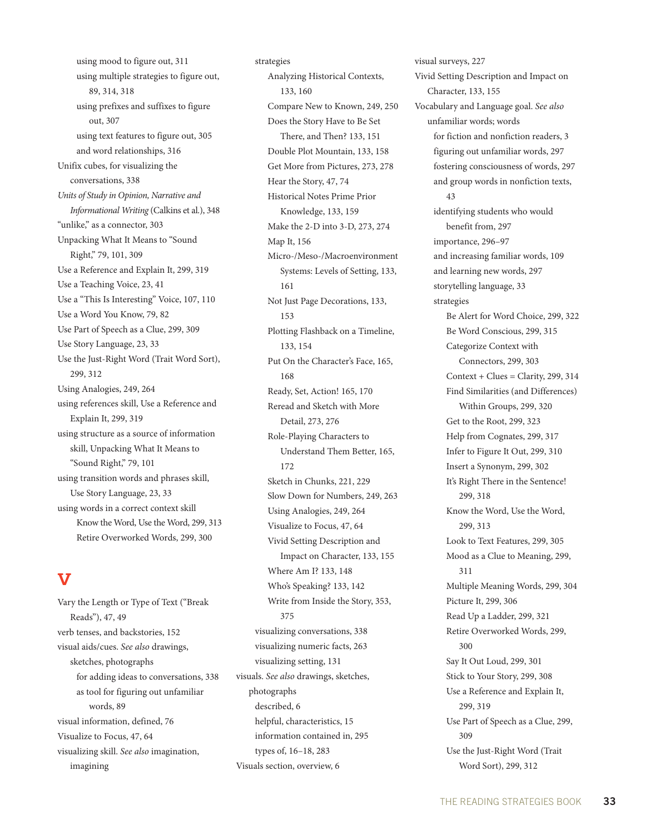using mood to figure out, 311 using multiple strategies to figure out, 89, 314, 318 using prefixes and suffixes to figure out, 307 using text features to figure out, 305 and word relationships, 316 Unifix cubes, for visualizing the conversations, 338 *Units of Study in Opinion, Narrative and Informational Writing* (Calkins et al.), 348 "unlike," as a connector, 303 Unpacking What It Means to "Sound Right," 79, 101, 309 Use a Reference and Explain It, 299, 319 Use a Teaching Voice, 23, 41 Use a "This Is Interesting" Voice, 107, 110 Use a Word You Know, 79, 82 Use Part of Speech as a Clue, 299, 309 Use Story Language, 23, 33 Use the Just-Right Word (Trait Word Sort), 299, 312 Using Analogies, 249, 264 using references skill, Use a Reference and Explain It, 299, 319 using structure as a source of information skill, Unpacking What It Means to "Sound Right," 79, 101 using transition words and phrases skill, Use Story Language, 23, 33 using words in a correct context skill Know the Word, Use the Word, 299, 313 Retire Overworked Words, 299, 300

# **V**

Vary the Length or Type of Text ("Break Reads"), 47, 49 verb tenses, and backstories, 152 visual aids/cues. *See also* drawings, sketches, photographs for adding ideas to conversations, 338 as tool for figuring out unfamiliar words, 89 visual information, defined, 76 Visualize to Focus, 47, 64 visualizing skill. *See also* imagination, imagining

strategies Analyzing Historical Contexts, 133, 160 Compare New to Known, 249, 250 Does the Story Have to Be Set There, and Then? 133, 151 Double Plot Mountain, 133, 158 Get More from Pictures, 273, 278 Hear the Story, 47, 74 Historical Notes Prime Prior Knowledge, 133, 159 Make the 2-D into 3-D, 273, 274 Map It, 156 Micro-/Meso-/Macroenvironment Systems: Levels of Setting, 133, 161 Not Just Page Decorations, 133, 153 Plotting Flashback on a Timeline, 133, 154 Put On the Character's Face, 165, 168 Ready, Set, Action! 165, 170 Reread and Sketch with More Detail, 273, 276 Role-Playing Characters to Understand Them Better, 165, 172 Sketch in Chunks, 221, 229 Slow Down for Numbers, 249, 263 Using Analogies, 249, 264 Visualize to Focus, 47, 64 Vivid Setting Description and Impact on Character, 133, 155 Where Am I? 133, 148 Who's Speaking? 133, 142 Write from Inside the Story, 353, 375 visualizing conversations, 338 visualizing numeric facts, 263 visualizing setting, 131 visuals. *See also* drawings, sketches, photographs described, 6 helpful, characteristics, 15 information contained in, 295 types of, 16–18, 283 Visuals section, overview, 6

visual surveys, 227 Vivid Setting Description and Impact on Character, 133, 155 Vocabulary and Language goal. *See also* unfamiliar words; words for fiction and nonfiction readers, 3 figuring out unfamiliar words, 297 fostering consciousness of words, 297 and group words in nonfiction texts, 43 identifying students who would benefit from, 297 importance, 296–97 and increasing familiar words, 109 and learning new words, 297 storytelling language, 33 strategies Be Alert for Word Choice, 299, 322 Be Word Conscious, 299, 315 Categorize Context with Connectors, 299, 303  $Context + Clues = Clarity, 299, 314$ Find Similarities (and Differences) Within Groups, 299, 320 Get to the Root, 299, 323 Help from Cognates, 299, 317 Infer to Figure It Out, 299, 310 Insert a Synonym, 299, 302 It's Right There in the Sentence! 299, 318 Know the Word, Use the Word, 299, 313 Look to Text Features, 299, 305 Mood as a Clue to Meaning, 299, 311 Multiple Meaning Words, 299, 304 Picture It, 299, 306 Read Up a Ladder, 299, 321 Retire Overworked Words, 299, 300 Say It Out Loud, 299, 301 Stick to Your Story, 299, 308 Use a Reference and Explain It, 299, 319 Use Part of Speech as a Clue, 299, 309 Use the Just-Right Word (Trait Word Sort), 299, 312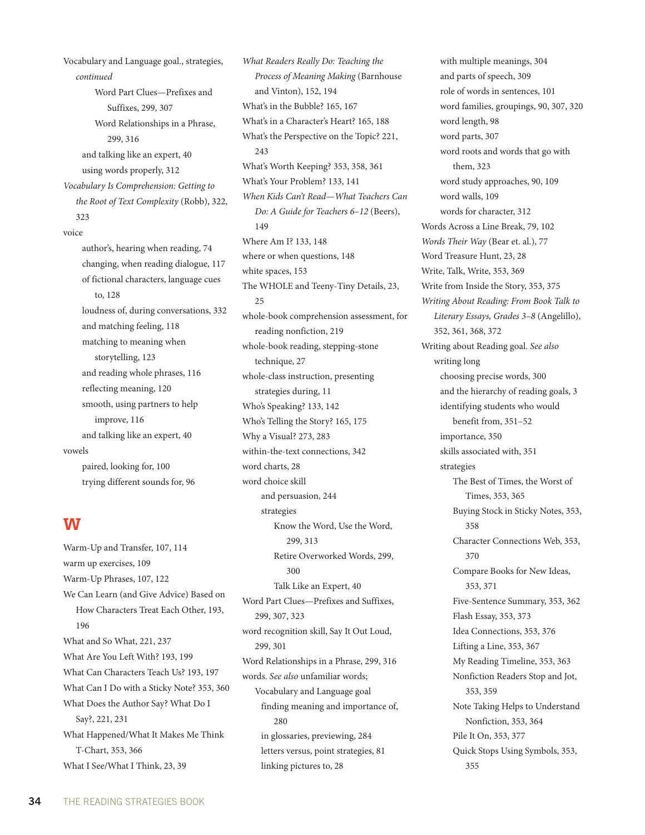Vocabulary and Language goal., strategies, *continued* Word Part Clues—Prefixes and Suffixes, 299, 307 Word Relationships in a Phrase, 299, 316 and talking like an expert, 40 using words properly, 312 *Vocabulary Is Comprehension: Getting to the Root of Text Complexity* (Robb), 322, 323 voice author's, hearing when reading, 74 changing, when reading dialogue, 117 of fictional characters, language cues to, 128 loudness of, during conversations, 332 and matching feeling, 118 matching to meaning when storytelling, 123 and reading whole phrases, 116 reflecting meaning, 120 smooth, using partners to help improve, 116 and talking like an expert, 40 vowels paired, looking for, 100 trying different sounds for, 96

#### **W**

Warm-Up and Transfer, 107, 114 warm up exercises, 109 Warm-Up Phrases, 107, 122 We Can Learn (and Give Advice) Based on How Characters Treat Each Other, 193, 196 What and So What, 221, 237 What Are You Left With? 193, 199 What Can Characters Teach Us? 193, 197 What Can I Do with a Sticky Note? 353, 360 What Does the Author Say? What Do I Say?, 221, 231 What Happened/What It Makes Me Think T-Chart, 353, 366 What I See/What I Think, 23, 39

*What Readers Really Do: Teaching the Process of Meaning Making* (Barnhouse and Vinton), 152, 194 What's in the Bubble? 165, 167 What's in a Character's Heart? 165, 188 What's the Perspective on the Topic? 221, 243 What's Worth Keeping? 353, 358, 361 What's Your Problem? 133, 141 *When Kids Can't Read—What Teachers Can Do: A Guide for Teachers 6–12* (Beers), 149 Where Am I? 133, 148 where or when questions, 148 white spaces, 153 The WHOLE and Teeny-Tiny Details, 23, 25 whole-book comprehension assessment, for reading nonfiction, 219 whole-book reading, stepping-stone technique, 27 whole-class instruction, presenting strategies during, 11 Who's Speaking? 133, 142 Who's Telling the Story? 165, 175 Why a Visual? 273, 283 within-the-text connections, 342 word charts, 28 word choice skill and persuasion, 244 strategies Know the Word, Use the Word, 299, 313 Retire Overworked Words, 299, 300 Talk Like an Expert, 40 Word Part Clues—Prefixes and Suffixes, 299, 307, 323 word recognition skill, Say It Out Loud, 299, 301 Word Relationships in a Phrase, 299, 316 words. *See also* unfamiliar words; Vocabulary and Language goal finding meaning and importance of, 280 in glossaries, previewing, 284 letters versus, point strategies, 81 linking pictures to, 28

with multiple meanings, 304 and parts of speech, 309 role of words in sentences, 101 word families, groupings, 90, 307, 320 word length, 98 word parts, 307 word roots and words that go with them, 323 word study approaches, 90, 109 word walls, 109 words for character, 312 Words Across a Line Break, 79, 102 *Words Their Way* (Bear et. al.), 77 Word Treasure Hunt, 23, 28 Write, Talk, Write, 353, 369 Write from Inside the Story, 353, 375 *Writing About Reading: From Book Talk to Literary Essays, Grades 3–8* (Angelillo), 352, 361, 368, 372 Writing about Reading goal. *See also* writing long choosing precise words, 300 and the hierarchy of reading goals, 3 identifying students who would benefit from, 351–52 importance, 350 skills associated with, 351 strategies The Best of Times, the Worst of Times, 353, 365 Buying Stock in Sticky Notes, 353, 358 Character Connections Web, 353, 370 Compare Books for New Ideas, 353, 371 Five-Sentence Summary, 353, 362 Flash Essay, 353, 373 Idea Connections, 353, 376 Lifting a Line, 353, 367 My Reading Timeline, 353, 363 Nonfiction Readers Stop and Jot, 353, 359 Note Taking Helps to Understand Nonfiction, 353, 364 Pile It On, 353, 377 Quick Stops Using Symbols, 353, 355